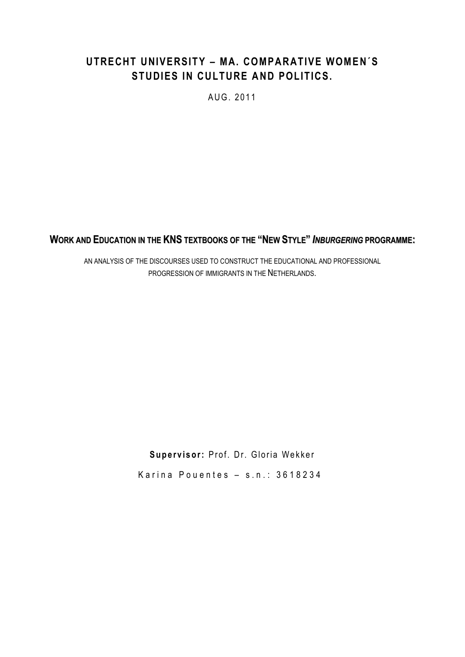# **UTRECHT UNIVERSITY – MA. COMPARATIVE WOMEN´S STUDIES IN CULTURE AND POLITICS.**

AUG. 2011

**WORK AND EDUCATION IN THE KNS TEXTBOOKS OF THE "NEW STYLE" INBURGERING PROGRAMME:** 

AN ANALYSIS OF THE DISCOURSES USED TO CONSTRUCT THE EDUCATIONAL AND PROFESSIONAL PROGRESSION OF IMMIGRANTS IN THE NETHERLANDS.

> Supervisor: Prof. Dr. Gloria Wekker Karina Pouentes  $-$  s.n.: 3618234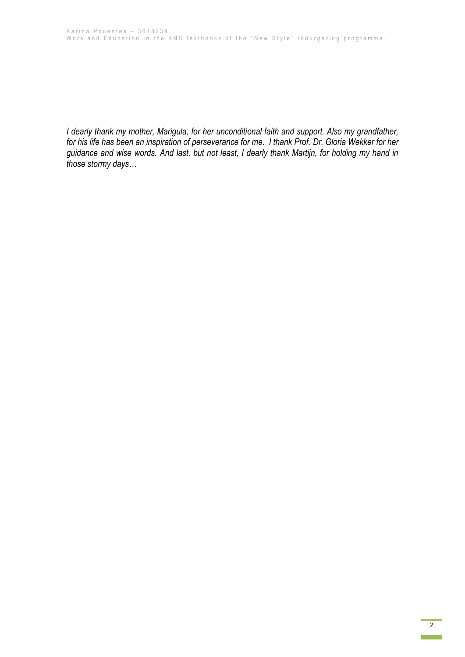*I dearly thank my mother, Marigula, for her unconditional faith and support. Also my grandfather, for his life has been an inspiration of perseverance for me. I thank Prof. Dr. Gloria Wekker for her guidance and wise words. And last, but not least, I dearly thank Martijn, for holding my hand in those stormy days…*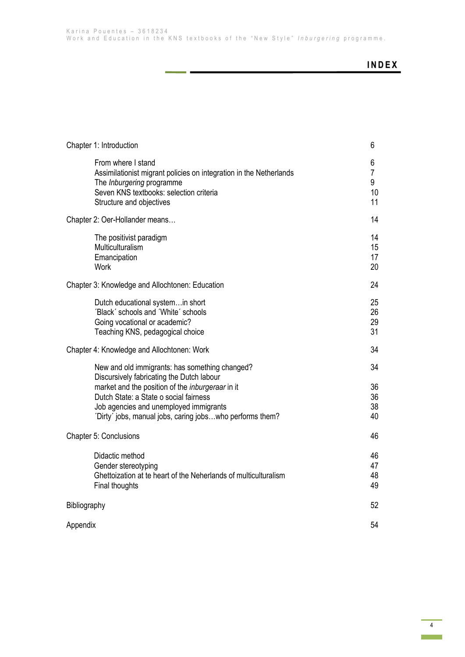ä,

# **I N D E X**

| Chapter 1: Introduction                                                                                                                                                                                                                                                                                | 6                                    |
|--------------------------------------------------------------------------------------------------------------------------------------------------------------------------------------------------------------------------------------------------------------------------------------------------------|--------------------------------------|
| From where I stand<br>Assimilationist migrant policies on integration in the Netherlands<br>The Inburgering programme<br>Seven KNS textbooks: selection criteria<br>Structure and objectives                                                                                                           | 6<br>$\overline{7}$<br>9<br>10<br>11 |
| Chapter 2: Oer-Hollander means                                                                                                                                                                                                                                                                         | 14                                   |
| The positivist paradigm<br>Multiculturalism<br>Emancipation<br><b>Work</b>                                                                                                                                                                                                                             | 14<br>15<br>17<br>20                 |
| Chapter 3: Knowledge and Allochtonen: Education                                                                                                                                                                                                                                                        | 24                                   |
| Dutch educational system in short<br>'Black' schools and 'White' schools<br>Going vocational or academic?<br>Teaching KNS, pedagogical choice                                                                                                                                                          | 25<br>26<br>29<br>31                 |
| Chapter 4: Knowledge and Allochtonen: Work                                                                                                                                                                                                                                                             | 34                                   |
| New and old immigrants: has something changed?<br>Discursively fabricating the Dutch labour<br>market and the position of the <i>inburgeraar</i> in it<br>Dutch State: a State o social fairness<br>Job agencies and unemployed immigrants<br>'Dirty' jobs, manual jobs, caring jobswho performs them? | 34<br>36<br>36<br>38<br>40           |
| Chapter 5: Conclusions                                                                                                                                                                                                                                                                                 | 46                                   |
| Didactic method<br>Gender stereotyping<br>Ghettoization at te heart of the Neherlands of multiculturalism<br>Final thoughts                                                                                                                                                                            | 46<br>47<br>48<br>49                 |
| Bibliography                                                                                                                                                                                                                                                                                           | 52                                   |
| Appendix                                                                                                                                                                                                                                                                                               | 54                                   |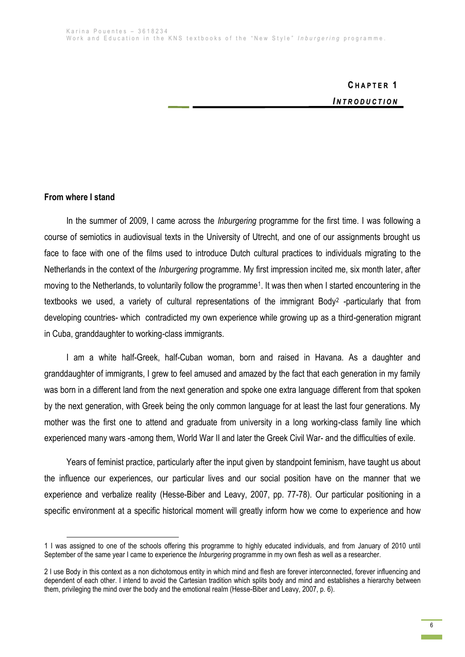# **C H A P T E R 1** *I N T R O D U C T I O N*

### **From where I stand**

**.** 

In the summer of 2009, I came across the *Inburgering* programme for the first time. I was following a course of semiotics in audiovisual texts in the University of Utrecht, and one of our assignments brought us face to face with one of the films used to introduce Dutch cultural practices to individuals migrating to the Netherlands in the context of the *Inburgering* programme. My first impression incited me, six month later, after moving to the Netherlands, to voluntarily follow the programme<sup>1</sup>. It was then when I started encountering in the textbooks we used, a variety of cultural representations of the immigrant Body<sup>2</sup> -particularly that from developing countries- which contradicted my own experience while growing up as a third-generation migrant in Cuba, granddaughter to working-class immigrants.

I am a white half-Greek, half-Cuban woman, born and raised in Havana. As a daughter and granddaughter of immigrants, I grew to feel amused and amazed by the fact that each generation in my family was born in a different land from the next generation and spoke one extra language different from that spoken by the next generation, with Greek being the only common language for at least the last four generations. My mother was the first one to attend and graduate from university in a long working-class family line which experienced many wars -among them, World War II and later the Greek Civil War- and the difficulties of exile.

Years of feminist practice, particularly after the input given by standpoint feminism, have taught us about the influence our experiences, our particular lives and our social position have on the manner that we experience and verbalize reality (Hesse-Biber and Leavy, 2007, pp. 77-78). Our particular positioning in a specific environment at a specific historical moment will greatly inform how we come to experience and how

<sup>1</sup> I was assigned to one of the schools offering this programme to highly educated individuals, and from January of 2010 until September of the same year I came to experience the *Inburgering* programme in my own flesh as well as a researcher.

<sup>2</sup> I use Body in this context as a non dichotomous entity in which mind and flesh are forever interconnected, forever influencing and dependent of each other. I intend to avoid the Cartesian tradition which splits body and mind and establishes a hierarchy between them, privileging the mind over the body and the emotional realm (Hesse-Biber and Leavy, 2007, p. 6).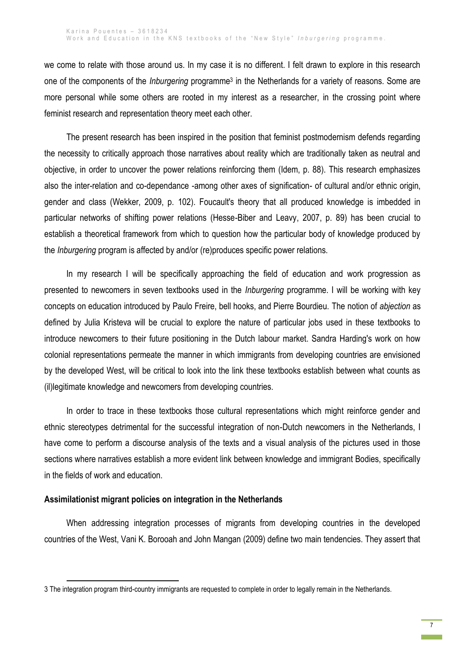we come to relate with those around us. In my case it is no different. I felt drawn to explore in this research one of the components of the *Inburgering* programme<sup>3</sup> in the Netherlands for a variety of reasons. Some are more personal while some others are rooted in my interest as a researcher, in the crossing point where feminist research and representation theory meet each other.

The present research has been inspired in the position that feminist postmodernism defends regarding the necessity to critically approach those narratives about reality which are traditionally taken as neutral and objective, in order to uncover the power relations reinforcing them (Idem, p. 88). This research emphasizes also the inter-relation and co-dependance -among other axes of signification- of cultural and/or ethnic origin, gender and class (Wekker, 2009, p. 102). Foucault's theory that all produced knowledge is imbedded in particular networks of shifting power relations (Hesse-Biber and Leavy, 2007, p. 89) has been crucial to establish a theoretical framework from which to question how the particular body of knowledge produced by the *Inburgering* program is affected by and/or (re)produces specific power relations.

In my research I will be specifically approaching the field of education and work progression as presented to newcomers in seven textbooks used in the *Inburgering* programme. I will be working with key concepts on education introduced by Paulo Freire, bell hooks, and Pierre Bourdieu. The notion of *abjection* as defined by Julia Kristeva will be crucial to explore the nature of particular jobs used in these textbooks to introduce newcomers to their future positioning in the Dutch labour market. Sandra Harding's work on how colonial representations permeate the manner in which immigrants from developing countries are envisioned by the developed West, will be critical to look into the link these textbooks establish between what counts as (il)legitimate knowledge and newcomers from developing countries.

In order to trace in these textbooks those cultural representations which might reinforce gender and ethnic stereotypes detrimental for the successful integration of non-Dutch newcomers in the Netherlands, I have come to perform a discourse analysis of the texts and a visual analysis of the pictures used in those sections where narratives establish a more evident link between knowledge and immigrant Bodies, specifically in the fields of work and education.

### **Assimilationist migrant policies on integration in the Netherlands**

1

When addressing integration processes of migrants from developing countries in the developed countries of the West, Vani K. Borooah and John Mangan (2009) define two main tendencies. They assert that

<sup>3</sup> The integration program third-country immigrants are requested to complete in order to legally remain in the Netherlands.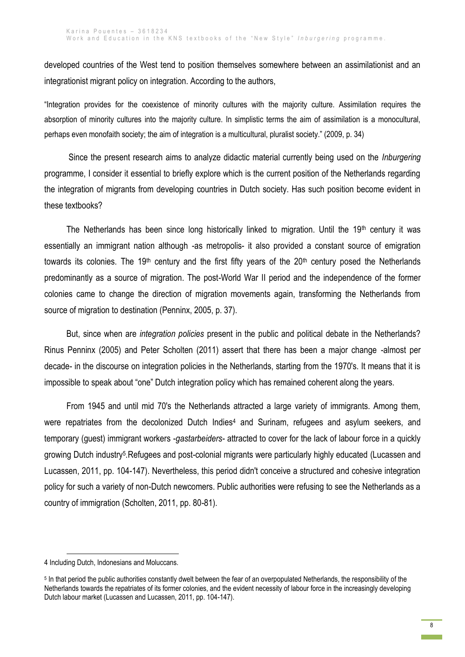developed countries of the West tend to position themselves somewhere between an assimilationist and an integrationist migrant policy on integration. According to the authors,

"Integration provides for the coexistence of minority cultures with the majority culture. Assimilation requires the absorption of minority cultures into the majority culture. In simplistic terms the aim of assimilation is a monocultural, perhaps even monofaith society; the aim of integration is a multicultural, pluralist society." (2009, p. 34)

Since the present research aims to analyze didactic material currently being used on the *Inburgering* programme, I consider it essential to briefly explore which is the current position of the Netherlands regarding the integration of migrants from developing countries in Dutch society. Has such position become evident in these textbooks?

The Netherlands has been since long historically linked to migration. Until the 19<sup>th</sup> century it was essentially an immigrant nation although -as metropolis- it also provided a constant source of emigration towards its colonies. The 19<sup>th</sup> century and the first fifty years of the  $20<sup>th</sup>$  century posed the Netherlands predominantly as a source of migration. The post-World War II period and the independence of the former colonies came to change the direction of migration movements again, transforming the Netherlands from source of migration to destination (Penninx, 2005, p. 37).

But, since when are *integration policies* present in the public and political debate in the Netherlands? Rinus Penninx (2005) and Peter Scholten (2011) assert that there has been a major change -almost per decade- in the discourse on integration policies in the Netherlands, starting from the 1970's. It means that it is impossible to speak about "one" Dutch integration policy which has remained coherent along the years.

From 1945 and until mid 70's the Netherlands attracted a large variety of immigrants. Among them, were repatriates from the decolonized Dutch Indies<sup>4</sup> and Surinam, refugees and asylum seekers, and temporary (guest) immigrant workers -*gastarbeiders-* attracted to cover for the lack of labour force in a quickly growing Dutch industry<sup>5</sup>.Refugees and post-colonial migrants were particularly highly educated (Lucassen and Lucassen, 2011, pp. 104-147). Nevertheless, this period didn't conceive a structured and cohesive integration policy for such a variety of non-Dutch newcomers. Public authorities were refusing to see the Netherlands as a country of immigration (Scholten, 2011, pp. 80-81).

1

<sup>4</sup> Including Dutch, Indonesians and Moluccans.

<sup>&</sup>lt;sup>5</sup> In that period the public authorities constantly dwelt between the fear of an overpopulated Netherlands, the responsibility of the Netherlands towards the repatriates of its former colonies, and the evident necessity of labour force in the increasingly developing Dutch labour market (Lucassen and Lucassen, 2011, pp. 104-147).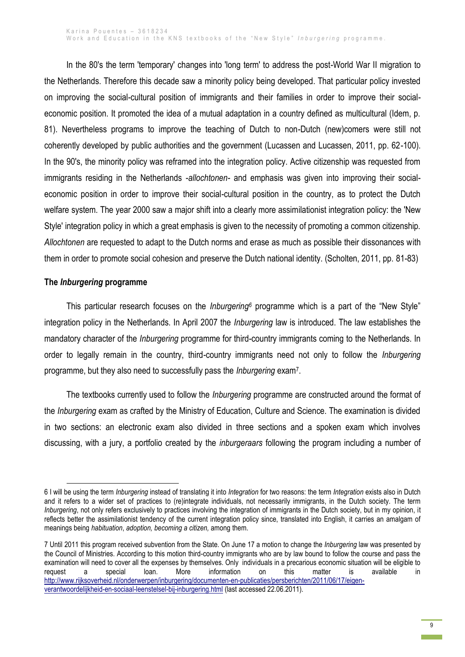In the 80's the term 'temporary' changes into 'long term' to address the post-World War II migration to the Netherlands. Therefore this decade saw a minority policy being developed. That particular policy invested on improving the social-cultural position of immigrants and their families in order to improve their socialeconomic position. It promoted the idea of a mutual adaptation in a country defined as multicultural (Idem, p. 81). Nevertheless programs to improve the teaching of Dutch to non-Dutch (new)comers were still not coherently developed by public authorities and the government (Lucassen and Lucassen, 2011, pp. 62-100). In the 90's, the minority policy was reframed into the integration policy. Active citizenship was requested from immigrants residing in the Netherlands -*allochtonen-* and emphasis was given into improving their socialeconomic position in order to improve their social-cultural position in the country, as to protect the Dutch welfare system. The year 2000 saw a major shift into a clearly more assimilationist integration policy: the 'New Style' integration policy in which a great emphasis is given to the necessity of promoting a common citizenship. *Allochtonen* are requested to adapt to the Dutch norms and erase as much as possible their dissonances with them in order to promote social cohesion and preserve the Dutch national identity. (Scholten, 2011, pp. 81-83)

### **The** *Inburgering* **programme**

1

This particular research focuses on the *Inburgering<sup>6</sup>* programme which is a part of the "New Style" integration policy in the Netherlands. In April 2007 the *Inburgering* law is introduced. The law establishes the mandatory character of the *Inburgering* programme for third-country immigrants coming to the Netherlands. In order to legally remain in the country, third-country immigrants need not only to follow the *Inburgering* programme, but they also need to successfully pass the *Inburgering* exam<sup>7</sup> .

The textbooks currently used to follow the *Inburgering* programme are constructed around the format of the *Inburgering* exam as crafted by the Ministry of Education, Culture and Science. The examination is divided in two sections: an electronic exam also divided in three sections and a spoken exam which involves discussing, with a jury, a portfolio created by the *inburgeraars* following the program including a number of

<sup>6</sup> I will be using the term *Inburgering* instead of translating it into *Integration* for two reasons: the term *Integration* exists also in Dutch and it refers to a wider set of practices to (re)integrate individuals, not necessarily immigrants, in the Dutch society. The term *Inburgering*, not only refers exclusively to practices involving the integration of immigrants in the Dutch society, but in my opinion, it reflects better the assimilationist tendency of the current integration policy since, translated into English, it carries an amalgam of meanings being *habituation*, *adoption, becoming a citizen,* among them.

<sup>7</sup> Until 2011 this program received subvention from the State. On June 17 a motion to change the *Inburgering* law was presented by the Council of Ministries. According to this motion third-country immigrants who are by law bound to follow the course and pass the examination will need to cover all the expenses by themselves. Only individuals in a precarious economic situation will be eligible to request a special loan. More information on this matter is available in http://www.rijksoverheid.nl/onderwerpen/inburgering/documenten-en-publicaties/persberichten/2011/06/17/eigenverantwoordelijkheid-en-sociaal-leenstelsel-bij-inburgering.html (last accessed 22.06.2011).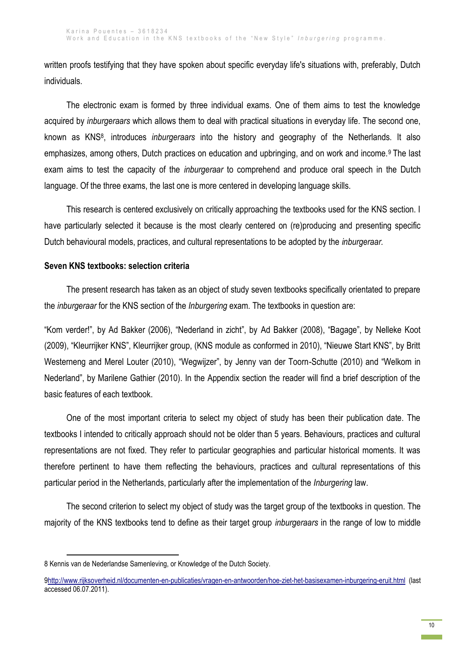written proofs testifying that they have spoken about specific everyday life's situations with, preferably, Dutch individuals.

The electronic exam is formed by three individual exams. One of them aims to test the knowledge acquired by *inburgeraars* which allows them to deal with practical situations in everyday life. The second one, known as KNS<sup>8</sup> , introduces *inburgeraars* into the history and geography of the Netherlands. It also emphasizes, among others, Dutch practices on education and upbringing, and on work and income.<sup>9</sup> The last exam aims to test the capacity of the *inburgeraar* to comprehend and produce oral speech in the Dutch language. Of the three exams, the last one is more centered in developing language skills.

This research is centered exclusively on critically approaching the textbooks used for the KNS section. I have particularly selected it because is the most clearly centered on (re)producing and presenting specific Dutch behavioural models, practices, and cultural representations to be adopted by the *inburgeraar.* 

# **Seven KNS textbooks: selection criteria**

The present research has taken as an object of study seven textbooks specifically orientated to prepare the *inburgeraar* for the KNS section of the *Inburgering* exam. The textbooks in question are:

"Kom verder!", by Ad Bakker (2006), "Nederland in zicht", by Ad Bakker (2008), "Bagage", by Nelleke Koot (2009), "Kleurrijker KNS", Kleurrijker group, (KNS module as conformed in 2010), "Nieuwe Start KNS", by Britt Westerneng and Merel Louter (2010), "Wegwijzer", by Jenny van der Toorn-Schutte (2010) and "Welkom in Nederland", by Marilene Gathier (2010). In the Appendix section the reader will find a brief description of the basic features of each textbook.

One of the most important criteria to select my object of study has been their publication date. The textbooks I intended to critically approach should not be older than 5 years. Behaviours, practices and cultural representations are not fixed. They refer to particular geographies and particular historical moments. It was therefore pertinent to have them reflecting the behaviours, practices and cultural representations of this particular period in the Netherlands, particularly after the implementation of the *Inburgering* law.

The second criterion to select my object of study was the target group of the textbooks in question. The majority of the KNS textbooks tend to define as their target group *inburgeraars* in the range of low to middle

<sup>1</sup> 8 Kennis van de Nederlandse Samenleving, or Knowledge of the Dutch Society.

[<sup>9</sup>http://www.rijksoverheid.nl/documenten-en-publicaties/vragen-en-antwoorden/hoe-ziet-het-basisexamen-inburgering-eruit.html](http://www.rijksoverheid.nl/documenten-en-publicaties/vragen-en-antwoorden/hoe-ziet-het-basisexamen-inburgering-eruit.html) (last accessed 06.07.2011).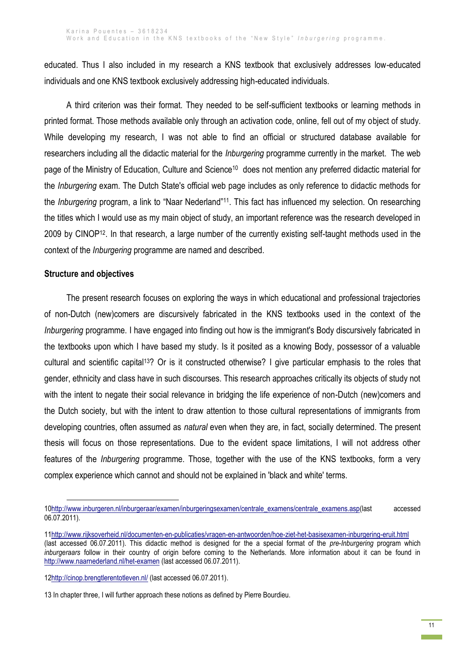educated. Thus I also included in my research a KNS textbook that exclusively addresses low-educated individuals and one KNS textbook exclusively addressing high-educated individuals.

A third criterion was their format. They needed to be self-sufficient textbooks or learning methods in printed format. Those methods available only through an activation code, online, fell out of my object of study. While developing my research, I was not able to find an official or structured database available for researchers including all the didactic material for the *Inburgering* programme currently in the market. The web page of the Ministry of Education, Culture and Science<sup>10</sup> does not mention any preferred didactic material for the *Inburgering* exam. The Dutch State's official web page includes as only reference to didactic methods for the *Inburgering* program, a link to "Naar Nederland"11. This fact has influenced my selection. On researching the titles which I would use as my main object of study, an important reference was the research developed in 2009 by CINOP12. In that research, a large number of the currently existing self-taught methods used in the context of the *Inburgering* programme are named and described.

## **Structure and objectives**

1

The present research focuses on exploring the ways in which educational and professional trajectories of non-Dutch (new)comers are discursively fabricated in the KNS textbooks used in the context of the *Inburgering* programme. I have engaged into finding out how is the immigrant's Body discursively fabricated in the textbooks upon which I have based my study. Is it posited as a knowing Body, possessor of a valuable cultural and scientific capital13? Or is it constructed otherwise? I give particular emphasis to the roles that gender, ethnicity and class have in such discourses. This research approaches critically its objects of study not with the intent to negate their social relevance in bridging the life experience of non-Dutch (new)comers and the Dutch society, but with the intent to draw attention to those cultural representations of immigrants from developing countries, often assumed as *natural* even when they are, in fact, socially determined. The present thesis will focus on those representations. Due to the evident space limitations, I will not address other features of the *Inburgering* programme. Those, together with the use of the KNS textbooks, form a very complex experience which cannot and should not be explained in 'black and white' terms.

[<sup>10</sup>http://www.inburgeren.nl/inburgeraar/examen/inburgeringsexamen/centrale\\_examens/centrale\\_examens.asp\(](http://www.inburgeren.nl/inburgeraar/examen/inburgeringsexamen/centrale_examens/centrale_examens.asp)last accessed 06.07.2011).

[<sup>11</sup>http://www.rijksoverheid.nl/documenten-en-publicaties/vragen-en-antwoorden/hoe-ziet-het-basisexamen-inburgering-eruit.html](http://www.rijksoverheid.nl/documenten-en-publicaties/vragen-en-antwoorden/hoe-ziet-het-basisexamen-inburgering-eruit.html) (last accessed 06.07.2011). This didactic method is designed for the a special format of the *pre*-*Inburgering* program which *inburgeraars* follow in their country of origin before coming to the Netherlands. More information about it can be found in <http://www.naarnederland.nl/het-examen> (last accessed 06.07.2011).

[<sup>12</sup>http://cinop.brengtlerentotleven.nl/](http://cinop.brengtlerentotleven.nl/) (last accessed 06.07.2011).

<sup>13</sup> In chapter three, I will further approach these notions as defined by Pierre Bourdieu.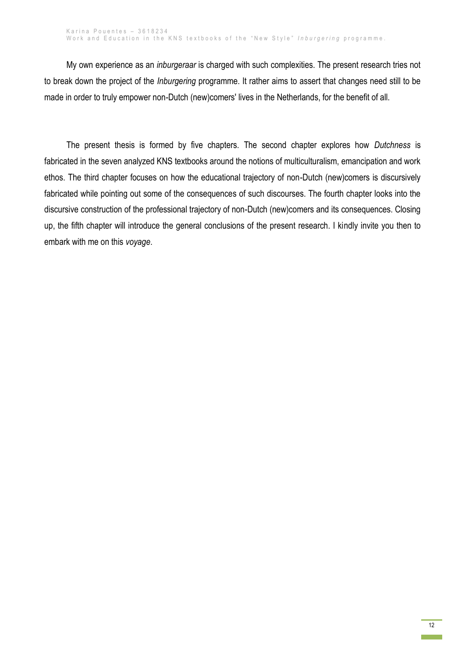My own experience as an *inburgeraar* is charged with such complexities. The present research tries not to break down the project of the *Inburgering* programme. It rather aims to assert that changes need still to be made in order to truly empower non-Dutch (new)comers' lives in the Netherlands, for the benefit of all.

The present thesis is formed by five chapters. The second chapter explores how *Dutchness* is fabricated in the seven analyzed KNS textbooks around the notions of multiculturalism, emancipation and work ethos. The third chapter focuses on how the educational trajectory of non-Dutch (new)comers is discursively fabricated while pointing out some of the consequences of such discourses. The fourth chapter looks into the discursive construction of the professional trajectory of non-Dutch (new)comers and its consequences. Closing up, the fifth chapter will introduce the general conclusions of the present research. I kindly invite you then to embark with me on this *voyage*.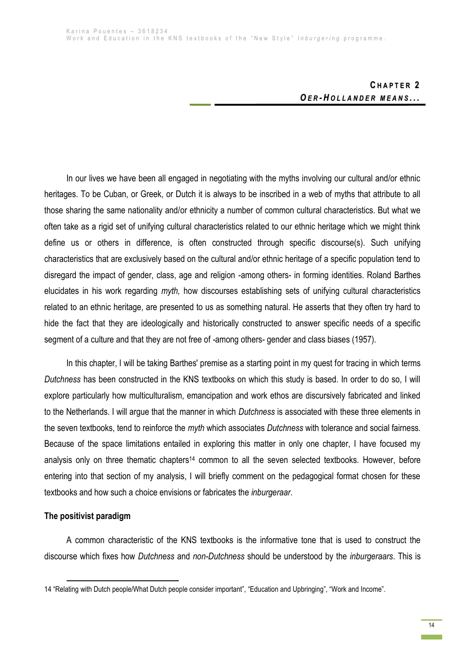# **C H A P T E R 2** *O E R - H O L L A N D E R M E A N S . . .*

In our lives we have been all engaged in negotiating with the myths involving our cultural and/or ethnic heritages. To be Cuban, or Greek, or Dutch it is always to be inscribed in a web of myths that attribute to all those sharing the same nationality and/or ethnicity a number of common cultural characteristics. But what we often take as a rigid set of unifying cultural characteristics related to our ethnic heritage which we might think define us or others in difference, is often constructed through specific discourse(s). Such unifying characteristics that are exclusively based on the cultural and/or ethnic heritage of a specific population tend to disregard the impact of gender, class, age and religion -among others- in forming identities. Roland Barthes elucidates in his work regarding *myth,* how discourses establishing sets of unifying cultural characteristics related to an ethnic heritage, are presented to us as something natural. He asserts that they often try hard to hide the fact that they are ideologically and historically constructed to answer specific needs of a specific segment of a culture and that they are not free of -among others- gender and class biases (1957).

In this chapter, I will be taking Barthes' premise as a starting point in my quest for tracing in which terms *Dutchness* has been constructed in the KNS textbooks on which this study is based. In order to do so, I will explore particularly how multiculturalism, emancipation and work ethos are discursively fabricated and linked to the Netherlands. I will argue that the manner in which *Dutchness* is associated with these three elements in the seven textbooks, tend to reinforce the *myth* which associates *Dutchness* with tolerance and social fairness. Because of the space limitations entailed in exploring this matter in only one chapter, I have focused my analysis only on three thematic chapters<sup>14</sup> common to all the seven selected textbooks. However, before entering into that section of my analysis, I will briefly comment on the pedagogical format chosen for these textbooks and how such a choice envisions or fabricates the *inburgeraar*.

### **The positivist paradigm**

1

A common characteristic of the KNS textbooks is the informative tone that is used to construct the discourse which fixes how *Dutchness* and *non-Dutchness* should be understood by the *inburgeraars*. This is

<sup>14</sup> "Relating with Dutch people/What Dutch people consider important", "Education and Upbringing", "Work and Income".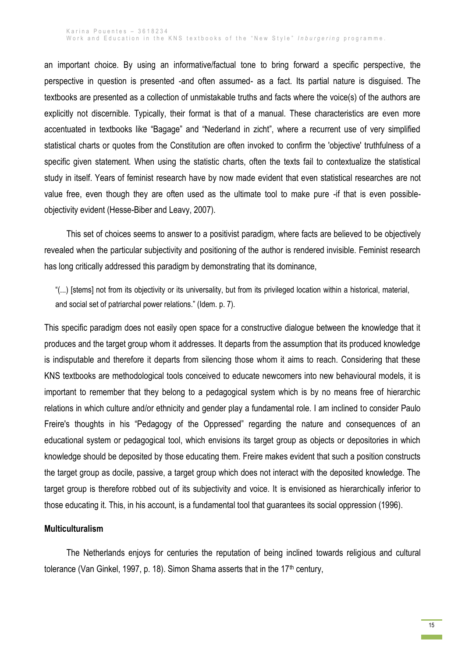an important choice. By using an informative/factual tone to bring forward a specific perspective, the perspective in question is presented -and often assumed- as a fact. Its partial nature is disguised. The textbooks are presented as a collection of unmistakable truths and facts where the voice(s) of the authors are explicitly not discernible. Typically, their format is that of a manual. These characteristics are even more accentuated in textbooks like "Bagage" and "Nederland in zicht", where a recurrent use of very simplified statistical charts or quotes from the Constitution are often invoked to confirm the 'objective' truthfulness of a specific given statement. When using the statistic charts, often the texts fail to contextualize the statistical study in itself. Years of feminist research have by now made evident that even statistical researches are not value free, even though they are often used as the ultimate tool to make pure -if that is even possibleobjectivity evident (Hesse-Biber and Leavy, 2007).

This set of choices seems to answer to a positivist paradigm, where facts are believed to be objectively revealed when the particular subjectivity and positioning of the author is rendered invisible. Feminist research has long critically addressed this paradigm by demonstrating that its dominance,

"(...) [stems] not from its objectivity or its universality, but from its privileged location within a historical, material, and social set of patriarchal power relations." (Idem. p. 7).

This specific paradigm does not easily open space for a constructive dialogue between the knowledge that it produces and the target group whom it addresses. It departs from the assumption that its produced knowledge is indisputable and therefore it departs from silencing those whom it aims to reach. Considering that these KNS textbooks are methodological tools conceived to educate newcomers into new behavioural models, it is important to remember that they belong to a pedagogical system which is by no means free of hierarchic relations in which culture and/or ethnicity and gender play a fundamental role. I am inclined to consider Paulo Freire's thoughts in his "Pedagogy of the Oppressed" regarding the nature and consequences of an educational system or pedagogical tool, which envisions its target group as objects or depositories in which knowledge should be deposited by those educating them. Freire makes evident that such a position constructs the target group as docile, passive, a target group which does not interact with the deposited knowledge. The target group is therefore robbed out of its subjectivity and voice. It is envisioned as hierarchically inferior to those educating it. This, in his account, is a fundamental tool that guarantees its social oppression (1996).

### **Multiculturalism**

The Netherlands enjoys for centuries the reputation of being inclined towards religious and cultural tolerance (Van Ginkel, 1997, p. 18). Simon Shama asserts that in the 17<sup>th</sup> century,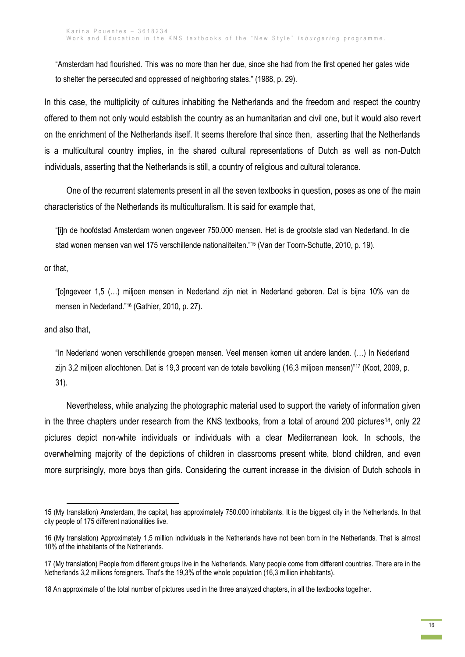"Amsterdam had flourished. This was no more than her due, since she had from the first opened her gates wide to shelter the persecuted and oppressed of neighboring states." (1988, p. 29).

In this case, the multiplicity of cultures inhabiting the Netherlands and the freedom and respect the country offered to them not only would establish the country as an humanitarian and civil one, but it would also revert on the enrichment of the Netherlands itself. It seems therefore that since then, asserting that the Netherlands is a multicultural country implies, in the shared cultural representations of Dutch as well as non-Dutch individuals, asserting that the Netherlands is still, a country of religious and cultural tolerance.

One of the recurrent statements present in all the seven textbooks in question, poses as one of the main characteristics of the Netherlands its multiculturalism. It is said for example that,

"[i]n de hoofdstad Amsterdam wonen ongeveer 750.000 mensen. Het is de grootste stad van Nederland. In die stad wonen mensen van wel 175 verschillende nationaliteiten."<sup>15</sup> (Van der Toorn-Schutte, 2010, p. 19).

or that,

"[o]ngeveer 1,5 (…) miljoen mensen in Nederland zijn niet in Nederland geboren. Dat is bijna 10% van de mensen in Nederland."<sup>16</sup> (Gathier, 2010, p. 27).

and also that,

"In Nederland wonen verschillende groepen mensen. Veel mensen komen uit andere landen. (…) In Nederland zijn 3,2 miljoen allochtonen. Dat is 19,3 procent van de totale bevolking (16,3 miljoen mensen)"<sup>17</sup> (Koot, 2009, p. 31).

Nevertheless, while analyzing the photographic material used to support the variety of information given in the three chapters under research from the KNS textbooks, from a total of around 200 pictures<sup>18</sup>, only 22 pictures depict non-white individuals or individuals with a clear Mediterranean look. In schools, the overwhelming majority of the depictions of children in classrooms present white, blond children, and even more surprisingly, more boys than girls. Considering the current increase in the division of Dutch schools in

 $\overline{a}$ 15 (My translation) Amsterdam, the capital, has approximately 750.000 inhabitants. It is the biggest city in the Netherlands. In that city people of 175 different nationalities live.

<sup>16</sup> (My translation) Approximately 1,5 million individuals in the Netherlands have not been born in the Netherlands. That is almost 10% of the inhabitants of the Netherlands.

<sup>17</sup> (My translation) People from different groups live in the Netherlands. Many people come from different countries. There are in the Netherlands 3,2 millions foreigners. That's the 19,3% of the whole population (16,3 million inhabitants).

<sup>18</sup> An approximate of the total number of pictures used in the three analyzed chapters, in all the textbooks together.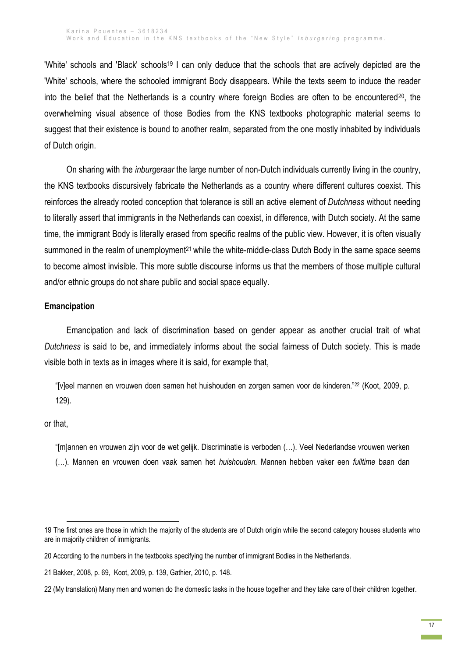'White' schools and 'Black' schools<sup>19</sup> I can only deduce that the schools that are actively depicted are the 'White' schools, where the schooled immigrant Body disappears. While the texts seem to induce the reader into the belief that the Netherlands is a country where foreign Bodies are often to be encountered<sup>20</sup>, the overwhelming visual absence of those Bodies from the KNS textbooks photographic material seems to suggest that their existence is bound to another realm, separated from the one mostly inhabited by individuals of Dutch origin.

On sharing with the *inburgeraar* the large number of non-Dutch individuals currently living in the country, the KNS textbooks discursively fabricate the Netherlands as a country where different cultures coexist. This reinforces the already rooted conception that tolerance is still an active element of *Dutchness* without needing to literally assert that immigrants in the Netherlands can coexist, in difference, with Dutch society. At the same time, the immigrant Body is literally erased from specific realms of the public view. However, it is often visually summoned in the realm of unemployment<sup>21</sup> while the white-middle-class Dutch Body in the same space seems to become almost invisible. This more subtle discourse informs us that the members of those multiple cultural and/or ethnic groups do not share public and social space equally.

# **Emancipation**

Emancipation and lack of discrimination based on gender appear as another crucial trait of what *Dutchness* is said to be, and immediately informs about the social fairness of Dutch society. This is made visible both in texts as in images where it is said, for example that,

"[v]eel mannen en vrouwen doen samen het huishouden en zorgen samen voor de kinderen."<sup>22</sup> (Koot, 2009, p. 129).

### or that,

**.** 

"[m]annen en vrouwen zijn voor de wet gelijk. Discriminatie is verboden (…). Veel Nederlandse vrouwen werken (…). Mannen en vrouwen doen vaak samen het *huishouden.* Mannen hebben vaker een *fulltime* baan dan

<sup>19</sup> The first ones are those in which the majority of the students are of Dutch origin while the second category houses students who are in majority children of immigrants.

<sup>20</sup> According to the numbers in the textbooks specifying the number of immigrant Bodies in the Netherlands.

<sup>21</sup> Bakker, 2008, p. 69, Koot, 2009, p. 139, Gathier, 2010, p. 148.

<sup>22</sup> (My translation) Many men and women do the domestic tasks in the house together and they take care of their children together.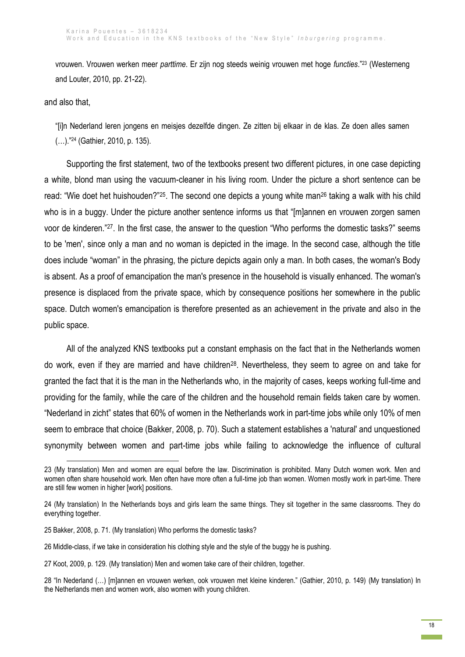vrouwen. Vrouwen werken meer *parttime*. Er zijn nog steeds weinig vrouwen met hoge *functies*."<sup>23</sup> (Westerneng and Louter, 2010, pp. 21-22).

and also that,

1

"[i]n Nederland leren jongens en meisjes dezelfde dingen. Ze zitten bij elkaar in de klas. Ze doen alles samen (…)."<sup>24</sup> (Gathier, 2010, p. 135).

Supporting the first statement, two of the textbooks present two different pictures, in one case depicting a white, blond man using the vacuum-cleaner in his living room. Under the picture a short sentence can be read: "Wie doet het huishouden?"<sup>25</sup>. The second one depicts a young white man<sup>26</sup> taking a walk with his child who is in a buggy. Under the picture another sentence informs us that "[m]annen en vrouwen zorgen samen voor de kinderen."27. In the first case, the answer to the question "Who performs the domestic tasks?" seems to be 'men', since only a man and no woman is depicted in the image. In the second case, although the title does include "woman" in the phrasing, the picture depicts again only a man. In both cases, the woman's Body is absent. As a proof of emancipation the man's presence in the household is visually enhanced. The woman's presence is displaced from the private space, which by consequence positions her somewhere in the public space. Dutch women's emancipation is therefore presented as an achievement in the private and also in the public space.

All of the analyzed KNS textbooks put a constant emphasis on the fact that in the Netherlands women do work, even if they are married and have children<sup>28</sup>. Nevertheless, they seem to agree on and take for granted the fact that it is the man in the Netherlands who, in the majority of cases, keeps working full-time and providing for the family, while the care of the children and the household remain fields taken care by women. "Nederland in zicht" states that 60% of women in the Netherlands work in part-time jobs while only 10% of men seem to embrace that choice (Bakker, 2008, p. 70). Such a statement establishes a 'natural' and unquestioned synonymity between women and part-time jobs while failing to acknowledge the influence of cultural

- 25 Bakker, 2008, p. 71. (My translation) Who performs the domestic tasks?
- 26 Middle-class, if we take in consideration his clothing style and the style of the buggy he is pushing.
- 27 Koot, 2009, p. 129. (My translation) Men and women take care of their children, together.
- 28 "In Nederland (…) [m]annen en vrouwen werken, ook vrouwen met kleine kinderen." (Gathier, 2010, p. 149) (My translation) In the Netherlands men and women work, also women with young children.

<sup>23</sup> (My translation) Men and women are equal before the law. Discrimination is prohibited. Many Dutch women work. Men and women often share household work. Men often have more often a full-time job than women. Women mostly work in part-time. There are still few women in higher [work] positions.

<sup>24</sup> (My translation) In the Netherlands boys and girls learn the same things. They sit together in the same classrooms. They do everything together.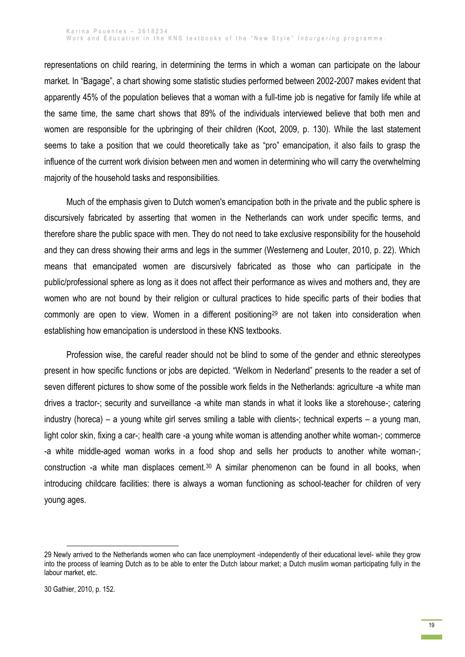representations on child rearing, in determining the terms in which a woman can participate on the labour market. In "Bagage", a chart showing some statistic studies performed between 2002-2007 makes evident that apparently 45% of the population believes that a woman with a full-time job is negative for family life while at the same time, the same chart shows that 89% of the individuals interviewed believe that both men and women are responsible for the upbringing of their children (Koot, 2009, p. 130). While the last statement seems to take a position that we could theoretically take as "pro" emancipation, it also fails to grasp the influence of the current work division between men and women in determining who will carry the overwhelming majority of the household tasks and responsibilities.

Much of the emphasis given to Dutch women's emancipation both in the private and the public sphere is discursively fabricated by asserting that women in the Netherlands can work under specific terms, and therefore share the public space with men. They do not need to take exclusive responsibility for the household and they can dress showing their arms and legs in the summer (Westerneng and Louter, 2010, p. 22). Which means that emancipated women are discursively fabricated as those who can participate in the public/professional sphere as long as it does not affect their performance as wives and mothers and, they are women who are not bound by their religion or cultural practices to hide specific parts of their bodies that commonly are open to view. Women in a different positioning<sup>29</sup> are not taken into consideration when establishing how emancipation is understood in these KNS textbooks.

Profession wise, the careful reader should not be blind to some of the gender and ethnic stereotypes present in how specific functions or jobs are depicted. "Welkom in Nederland" presents to the reader a set of seven different pictures to show some of the possible work fields in the Netherlands: agriculture -a white man drives a tractor-; security and surveillance -a white man stands in what it looks like a storehouse-; catering industry (horeca) – a young white girl serves smiling a table with clients-; technical experts – a young man, light color skin, fixing a car-; health care -a young white woman is attending another white woman-; commerce -a white middle-aged woman works in a food shop and sells her products to another white woman-; construction -a white man displaces cement.<sup>30</sup> A similar phenomenon can be found in all books, when introducing childcare facilities: there is always a woman functioning as school-teacher for children of very young ages.

 $\overline{a}$ 

<sup>29</sup> Newly arrived to the Netherlands women who can face unemployment -independently of their educational level- while they grow into the process of learning Dutch as to be able to enter the Dutch labour market; a Dutch muslim woman participating fully in the labour market, etc.

<sup>30</sup> Gathier, 2010, p. 152.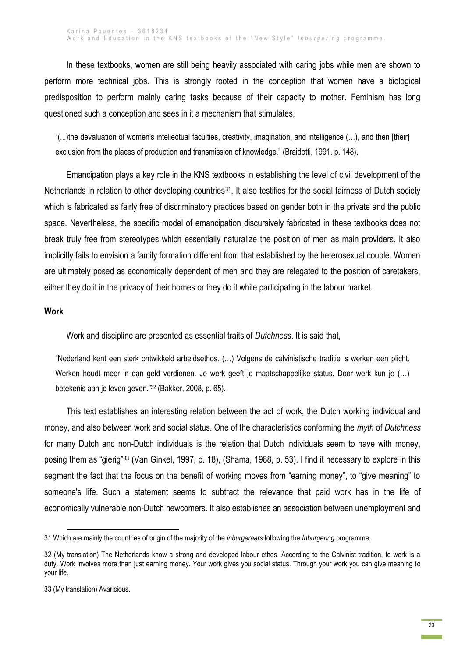In these textbooks, women are still being heavily associated with caring jobs while men are shown to perform more technical jobs. This is strongly rooted in the conception that women have a biological predisposition to perform mainly caring tasks because of their capacity to mother. Feminism has long questioned such a conception and sees in it a mechanism that stimulates,

"(...)the devaluation of women's intellectual faculties, creativity, imagination, and intelligence (…), and then [their] exclusion from the places of production and transmission of knowledge." (Braidotti, 1991, p. 148).

Emancipation plays a key role in the KNS textbooks in establishing the level of civil development of the Netherlands in relation to other developing countries<sup>31</sup>. It also testifies for the social fairness of Dutch society which is fabricated as fairly free of discriminatory practices based on gender both in the private and the public space. Nevertheless, the specific model of emancipation discursively fabricated in these textbooks does not break truly free from stereotypes which essentially naturalize the position of men as main providers. It also implicitly fails to envision a family formation different from that established by the heterosexual couple. Women are ultimately posed as economically dependent of men and they are relegated to the position of caretakers, either they do it in the privacy of their homes or they do it while participating in the labour market.

#### **Work**

Work and discipline are presented as essential traits of *Dutchness*. It is said that,

"Nederland kent een sterk ontwikkeld arbeidsethos. (…) Volgens de calvinistische traditie is werken een plicht. Werken houdt meer in dan geld verdienen. Je werk geeft je maatschappelijke status. Door werk kun je (…) betekenis aan je leven geven."<sup>32</sup> (Bakker, 2008, p. 65).

This text establishes an interesting relation between the act of work, the Dutch working individual and money, and also between work and social status. One of the characteristics conforming the *myth* of *Dutchness* for many Dutch and non-Dutch individuals is the relation that Dutch individuals seem to have with money, posing them as "gierig"<sup>33</sup> (Van Ginkel, 1997, p. 18), (Shama, 1988, p. 53). I find it necessary to explore in this segment the fact that the focus on the benefit of working moves from "earning money", to "give meaning" to someone's life. Such a statement seems to subtract the relevance that paid work has in the life of economically vulnerable non-Dutch newcomers. It also establishes an association between unemployment and

1

<sup>31</sup> Which are mainly the countries of origin of the majority of the *inburgeraars* following the *Inburgering* programme.

<sup>32</sup> (My translation) The Netherlands know a strong and developed labour ethos. According to the Calvinist tradition, to work is a duty. Work involves more than just earning money. Your work gives you social status. Through your work you can give meaning to your life.

<sup>33</sup> (My translation) Avaricious.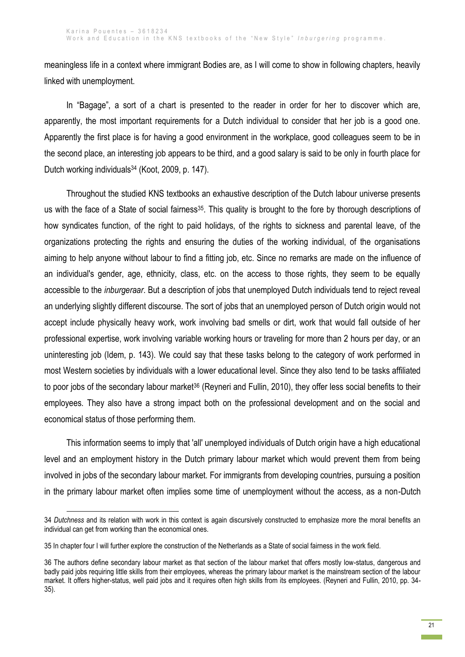meaningless life in a context where immigrant Bodies are, as I will come to show in following chapters, heavily linked with unemployment.

In "Bagage", a sort of a chart is presented to the reader in order for her to discover which are, apparently, the most important requirements for a Dutch individual to consider that her job is a good one. Apparently the first place is for having a good environment in the workplace, good colleagues seem to be in the second place, an interesting job appears to be third, and a good salary is said to be only in fourth place for Dutch working individuals<sup>34</sup> (Koot, 2009, p. 147).

Throughout the studied KNS textbooks an exhaustive description of the Dutch labour universe presents us with the face of a State of social fairness<sup>35</sup>. This quality is brought to the fore by thorough descriptions of how syndicates function, of the right to paid holidays, of the rights to sickness and parental leave, of the organizations protecting the rights and ensuring the duties of the working individual, of the organisations aiming to help anyone without labour to find a fitting job, etc. Since no remarks are made on the influence of an individual's gender, age, ethnicity, class, etc. on the access to those rights, they seem to be equally accessible to the *inburgeraar*. But a description of jobs that unemployed Dutch individuals tend to reject reveal an underlying slightly different discourse. The sort of jobs that an unemployed person of Dutch origin would not accept include physically heavy work, work involving bad smells or dirt, work that would fall outside of her professional expertise, work involving variable working hours or traveling for more than 2 hours per day, or an uninteresting job (Idem, p. 143). We could say that these tasks belong to the category of work performed in most Western societies by individuals with a lower educational level. Since they also tend to be tasks affiliated to poor jobs of the secondary labour market<sup>36</sup> (Reyneri and Fullin, 2010), they offer less social benefits to their employees. They also have a strong impact both on the professional development and on the social and economical status of those performing them.

This information seems to imply that 'all' unemployed individuals of Dutch origin have a high educational level and an employment history in the Dutch primary labour market which would prevent them from being involved in jobs of the secondary labour market. For immigrants from developing countries, pursuing a position in the primary labour market often implies some time of unemployment without the access, as a non-Dutch

<sup>34</sup> *Dutchness* and its relation with work in this context is again discursively constructed to emphasize more the moral benefits an individual can get from working than the economical ones.

<sup>35</sup> In chapter four I will further explore the construction of the Netherlands as a State of social fairness in the work field.

<sup>36</sup> The authors define secondary labour market as that section of the labour market that offers mostly low-status, dangerous and badly paid jobs requiring little skills from their employees, whereas the primary labour market is the mainstream section of the labour market. It offers higher-status, well paid jobs and it requires often high skills from its employees. (Reyneri and Fullin, 2010, pp. 34- 35).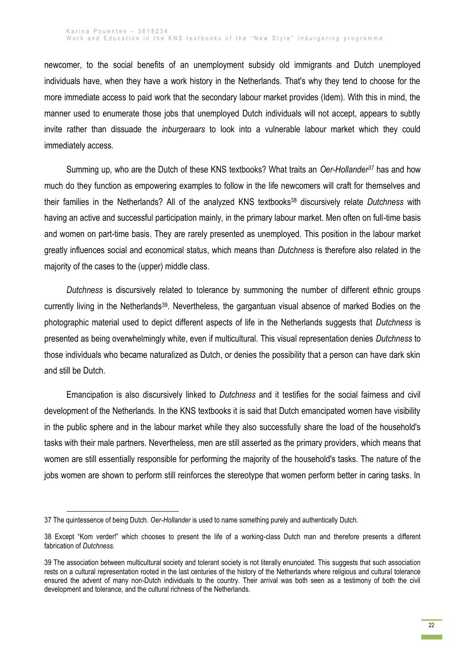newcomer, to the social benefits of an unemployment subsidy old immigrants and Dutch unemployed individuals have, when they have a work history in the Netherlands. That's why they tend to choose for the more immediate access to paid work that the secondary labour market provides (Idem). With this in mind, the manner used to enumerate those jobs that unemployed Dutch individuals will not accept, appears to subtly invite rather than dissuade the *inburgeraars* to look into a vulnerable labour market which they could immediately access.

Summing up, who are the Dutch of these KNS textbooks? What traits an *Oer-Hollander<sup>37</sup>* has and how much do they function as empowering examples to follow in the life newcomers will craft for themselves and their families in the Netherlands? All of the analyzed KNS textbooks<sup>38</sup> discursively relate *Dutchness* with having an active and successful participation mainly, in the primary labour market. Men often on full-time basis and women on part-time basis. They are rarely presented as unemployed. This position in the labour market greatly influences social and economical status, which means than *Dutchness* is therefore also related in the majority of the cases to the (upper) middle class.

*Dutchness* is discursively related to tolerance by summoning the number of different ethnic groups currently living in the Netherlands39. Nevertheless, the gargantuan visual absence of marked Bodies on the photographic material used to depict different aspects of life in the Netherlands suggests that *Dutchness* is presented as being overwhelmingly white, even if multicultural. This visual representation denies *Dutchness* to those individuals who became naturalized as Dutch, or denies the possibility that a person can have dark skin and still be Dutch.

Emancipation is also discursively linked to *Dutchness* and it testifies for the social fairness and civil development of the Netherlands. In the KNS textbooks it is said that Dutch emancipated women have visibility in the public sphere and in the labour market while they also successfully share the load of the household's tasks with their male partners. Nevertheless, men are still asserted as the primary providers, which means that women are still essentially responsible for performing the majority of the household's tasks. The nature of the jobs women are shown to perform still reinforces the stereotype that women perform better in caring tasks. In

<sup>37</sup> The quintessence of being Dutch. *Oer-Hollander* is used to name something purely and authentically Dutch.

<sup>38</sup> Except "Kom verder!" which chooses to present the life of a working-class Dutch man and therefore presents a different fabrication of *Dutchness.*

<sup>39</sup> The association between multicultural society and tolerant society is not literally enunciated. This suggests that such association rests on a cultural representation rooted in the last centuries of the history of the Netherlands where religious and cultural tolerance ensured the advent of many non-Dutch individuals to the country. Their arrival was both seen as a testimony of both the civil development and tolerance, and the cultural richness of the Netherlands.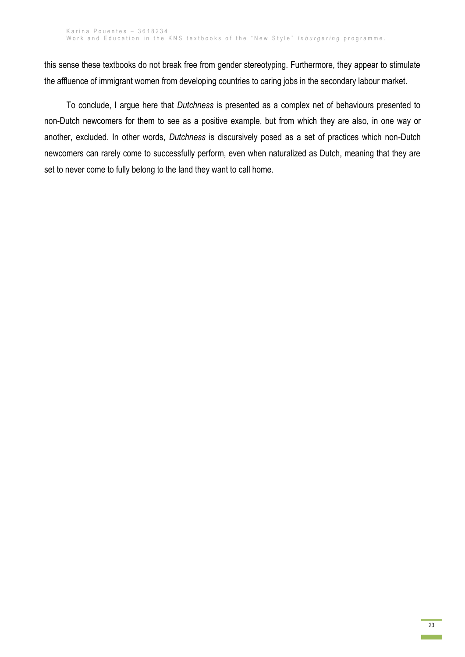this sense these textbooks do not break free from gender stereotyping. Furthermore, they appear to stimulate the affluence of immigrant women from developing countries to caring jobs in the secondary labour market.

To conclude, I argue here that *Dutchness* is presented as a complex net of behaviours presented to non-Dutch newcomers for them to see as a positive example, but from which they are also, in one way or another, excluded. In other words, *Dutchness* is discursively posed as a set of practices which non-Dutch newcomers can rarely come to successfully perform, even when naturalized as Dutch, meaning that they are set to never come to fully belong to the land they want to call home.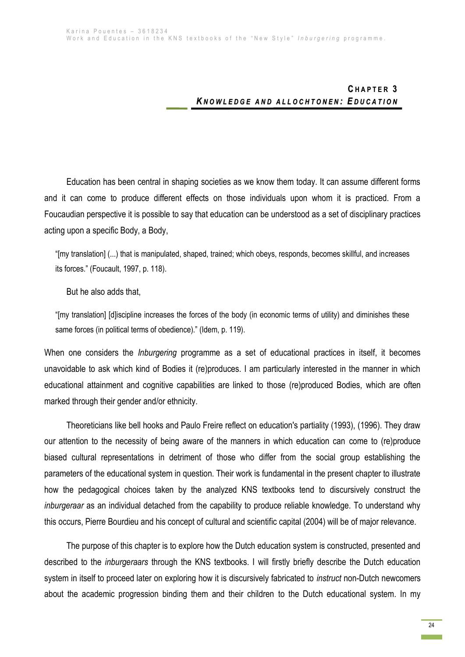# **C H A P T E R 3** KNOWLEDGE AND ALLOCHTONEN: EDUCATION

Education has been central in shaping societies as we know them today. It can assume different forms and it can come to produce different effects on those individuals upon whom it is practiced. From a Foucaudian perspective it is possible to say that education can be understood as a set of disciplinary practices acting upon a specific Body, a Body,

"[my translation] (...) that is manipulated, shaped, trained; which obeys, responds, becomes skillful, and increases its forces." (Foucault, 1997, p. 118).

But he also adds that,

"[my translation] [d]iscipline increases the forces of the body (in economic terms of utility) and diminishes these same forces (in political terms of obedience)." (Idem, p. 119).

When one considers the *Inburgering* programme as a set of educational practices in itself, it becomes unavoidable to ask which kind of Bodies it (re)produces. I am particularly interested in the manner in which educational attainment and cognitive capabilities are linked to those (re)produced Bodies, which are often marked through their gender and/or ethnicity.

Theoreticians like bell hooks and Paulo Freire reflect on education's partiality (1993), (1996). They draw our attention to the necessity of being aware of the manners in which education can come to (re)produce biased cultural representations in detriment of those who differ from the social group establishing the parameters of the educational system in question. Their work is fundamental in the present chapter to illustrate how the pedagogical choices taken by the analyzed KNS textbooks tend to discursively construct the *inburgeraar* as an individual detached from the capability to produce reliable knowledge. To understand why this occurs, Pierre Bourdieu and his concept of cultural and scientific capital (2004) will be of major relevance.

The purpose of this chapter is to explore how the Dutch education system is constructed, presented and described to the *inburgeraars* through the KNS textbooks. I will firstly briefly describe the Dutch education system in itself to proceed later on exploring how it is discursively fabricated to *instruct* non-Dutch newcomers about the academic progression binding them and their children to the Dutch educational system. In my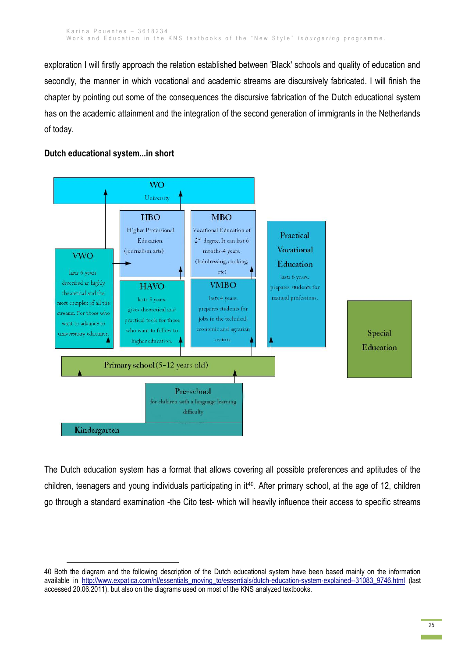exploration I will firstly approach the relation established between 'Black' schools and quality of education and secondly, the manner in which vocational and academic streams are discursively fabricated. I will finish the chapter by pointing out some of the consequences the discursive fabrication of the Dutch educational system has on the academic attainment and the integration of the second generation of immigrants in the Netherlands of today.

# **Dutch educational system...in short**

**.** 



The Dutch education system has a format that allows covering all possible preferences and aptitudes of the children, teenagers and young individuals participating in it40. After primary school, at the age of 12, children go through a standard examination -the Cito test- which will heavily influence their access to specific streams

<sup>40</sup> Both the diagram and the following description of the Dutch educational system have been based mainly on the information available in [http://www.expatica.com/nl/essentials\\_moving\\_to/essentials/dutch-education-system-explained--31083\\_9746.html](http://www.expatica.com/nl/essentials_moving_to/essentials/dutch-education-system-explained--31083_9746.html) (last accessed 20.06.2011), but also on the diagrams used on most of the KNS analyzed textbooks.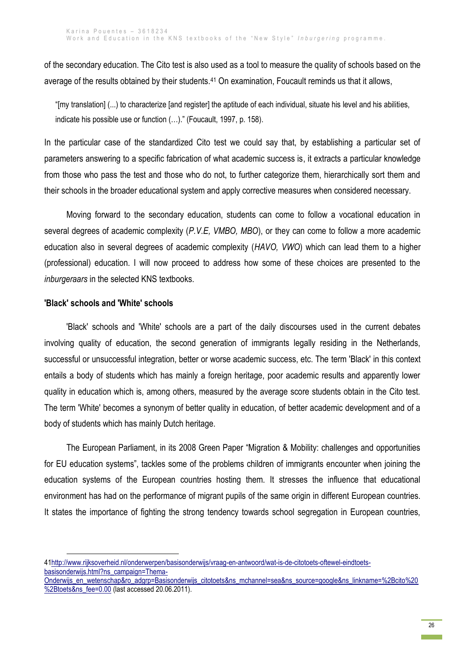of the secondary education. The Cito test is also used as a tool to measure the quality of schools based on the average of the results obtained by their students.<sup>41</sup> On examination, Foucault reminds us that it allows,

"[my translation] (...) to characterize [and register] the aptitude of each individual, situate his level and his abilities, indicate his possible use or function (…)." (Foucault, 1997, p. 158).

In the particular case of the standardized Cito test we could say that, by establishing a particular set of parameters answering to a specific fabrication of what academic success is, it extracts a particular knowledge from those who pass the test and those who do not, to further categorize them, hierarchically sort them and their schools in the broader educational system and apply corrective measures when considered necessary.

Moving forward to the secondary education, students can come to follow a vocational education in several degrees of academic complexity (*P.V.E, VMBO, MBO*), or they can come to follow a more academic education also in several degrees of academic complexity (*HAVO, VWO*) which can lead them to a higher (professional) education. I will now proceed to address how some of these choices are presented to the *inburgeraars* in the selected KNS textbooks.

## **'Black' schools and 'White' schools**

1

'Black' schools and 'White' schools are a part of the daily discourses used in the current debates involving quality of education, the second generation of immigrants legally residing in the Netherlands, successful or unsuccessful integration, better or worse academic success, etc. The term 'Black' in this context entails a body of students which has mainly a foreign heritage, poor academic results and apparently lower quality in education which is, among others, measured by the average score students obtain in the Cito test. The term 'White' becomes a synonym of better quality in education, of better academic development and of a body of students which has mainly Dutch heritage.

The European Parliament, in its 2008 Green Paper "Migration & Mobility: challenges and opportunities for EU education systems", tackles some of the problems children of immigrants encounter when joining the education systems of the European countries hosting them. It stresses the influence that educational environment has had on the performance of migrant pupils of the same origin in different European countries. It states the importance of fighting the strong tendency towards school segregation in European countries,

[<sup>41</sup>http://www.rijksoverheid.nl/onderwerpen/basisonderwijs/vraag-en-antwoord/wat-is-de-citotoets-oftewel-eindtoets](http://www.rijksoverheid.nl/onderwerpen/basisonderwijs/vraag-en-antwoord/wat-is-de-citotoets-oftewel-eindtoets-basisonderwijs.html?ns_campaign=Thema-Onderwijs_en_wetenschap&ro_adgrp=Basisonderwijs_citotoets&ns_mchannel=sea&ns_source=google&ns_linkname=%2Bcito%20%2Btoets&ns_fee=0.00)[basisonderwijs.html?ns\\_campaign=Thema-](http://www.rijksoverheid.nl/onderwerpen/basisonderwijs/vraag-en-antwoord/wat-is-de-citotoets-oftewel-eindtoets-basisonderwijs.html?ns_campaign=Thema-Onderwijs_en_wetenschap&ro_adgrp=Basisonderwijs_citotoets&ns_mchannel=sea&ns_source=google&ns_linkname=%2Bcito%20%2Btoets&ns_fee=0.00)

[Onderwijs\\_en\\_wetenschap&ro\\_adgrp=Basisonderwijs\\_citotoets&ns\\_mchannel=sea&ns\\_source=google&ns\\_linkname=%2Bcito%20](http://www.rijksoverheid.nl/onderwerpen/basisonderwijs/vraag-en-antwoord/wat-is-de-citotoets-oftewel-eindtoets-basisonderwijs.html?ns_campaign=Thema-Onderwijs_en_wetenschap&ro_adgrp=Basisonderwijs_citotoets&ns_mchannel=sea&ns_source=google&ns_linkname=%2Bcito%20%2Btoets&ns_fee=0.00) [%2Btoets&ns\\_fee=0.00](http://www.rijksoverheid.nl/onderwerpen/basisonderwijs/vraag-en-antwoord/wat-is-de-citotoets-oftewel-eindtoets-basisonderwijs.html?ns_campaign=Thema-Onderwijs_en_wetenschap&ro_adgrp=Basisonderwijs_citotoets&ns_mchannel=sea&ns_source=google&ns_linkname=%2Bcito%20%2Btoets&ns_fee=0.00) (last accessed 20.06.2011).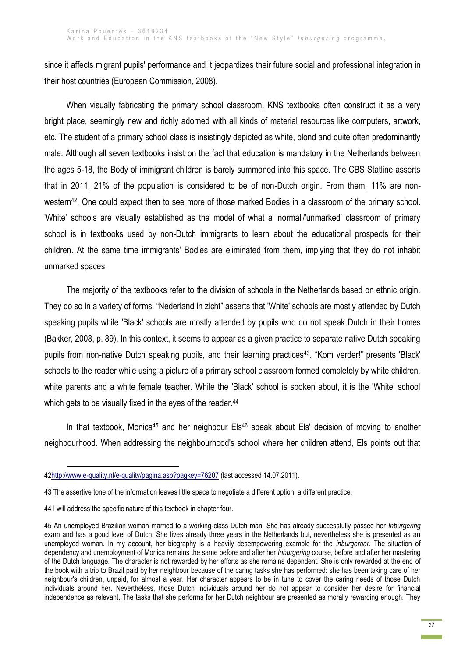since it affects migrant pupils' performance and it jeopardizes their future social and professional integration in their host countries (European Commission, 2008).

When visually fabricating the primary school classroom, KNS textbooks often construct it as a very bright place, seemingly new and richly adorned with all kinds of material resources like computers, artwork, etc. The student of a primary school class is insistingly depicted as white, blond and quite often predominantly male. Although all seven textbooks insist on the fact that education is mandatory in the Netherlands between the ages 5-18, the Body of immigrant children is barely summoned into this space. The CBS Statline asserts that in 2011, 21% of the population is considered to be of non-Dutch origin. From them, 11% are nonwestern<sup>42</sup>. One could expect then to see more of those marked Bodies in a classroom of the primary school. 'White' schools are visually established as the model of what a 'normal'/'unmarked' classroom of primary school is in textbooks used by non-Dutch immigrants to learn about the educational prospects for their children. At the same time immigrants' Bodies are eliminated from them, implying that they do not inhabit unmarked spaces.

The majority of the textbooks refer to the division of schools in the Netherlands based on ethnic origin. They do so in a variety of forms. "Nederland in zicht" asserts that 'White' schools are mostly attended by Dutch speaking pupils while 'Black' schools are mostly attended by pupils who do not speak Dutch in their homes (Bakker, 2008, p. 89). In this context, it seems to appear as a given practice to separate native Dutch speaking pupils from non-native Dutch speaking pupils, and their learning practices<sup>43</sup>. "Kom verder!" presents 'Black' schools to the reader while using a picture of a primary school classroom formed completely by white children, white parents and a white female teacher. While the 'Black' school is spoken about, it is the 'White' school which gets to be visually fixed in the eyes of the reader.<sup>44</sup>

In that textbook, Monica<sup>45</sup> and her neighbour  $EIs^{46}$  speak about Els' decision of moving to another neighbourhood. When addressing the neighbourhood's school where her children attend, Els points out that

[<sup>42</sup>http://www.e-quality.nl/e-quality/pagina.asp?pagkey=76207](http://www.e-quality.nl/e-quality/pagina.asp?pagkey=76207) (last accessed 14.07.2011).

<sup>43</sup> The assertive tone of the information leaves little space to negotiate a different option, a different practice.

<sup>44</sup> I will address the specific nature of this textbook in chapter four.

<sup>45</sup> An unemployed Brazilian woman married to a working-class Dutch man. She has already successfully passed her *Inburgering* exam and has a good level of Dutch. She lives already three years in the Netherlands but, nevertheless she is presented as an unemployed woman. In my account, her biography is a heavily desempowering example for the *inburgeraar*. The situation of dependency and unemployment of Monica remains the same before and after her *Inburgering* course, before and after her mastering of the Dutch language. The character is not rewarded by her efforts as she remains dependent. She is only rewarded at the end of the book with a trip to Brazil paid by her neighbour because of the caring tasks she has performed: she has been taking care of her neighbour's children, unpaid, for almost a year. Her character appears to be in tune to cover the caring needs of those Dutch individuals around her. Nevertheless, those Dutch individuals around her do not appear to consider her desire for financial independence as relevant. The tasks that she performs for her Dutch neighbour are presented as morally rewarding enough. They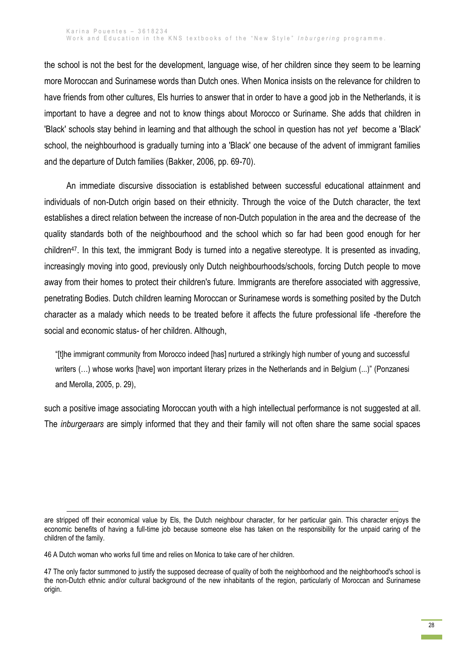the school is not the best for the development, language wise, of her children since they seem to be learning more Moroccan and Surinamese words than Dutch ones. When Monica insists on the relevance for children to have friends from other cultures, Els hurries to answer that in order to have a good job in the Netherlands, it is important to have a degree and not to know things about Morocco or Suriname. She adds that children in 'Black' schools stay behind in learning and that although the school in question has not *yet* become a 'Black' school, the neighbourhood is gradually turning into a 'Black' one because of the advent of immigrant families and the departure of Dutch families (Bakker, 2006, pp. 69-70).

An immediate discursive dissociation is established between successful educational attainment and individuals of non-Dutch origin based on their ethnicity. Through the voice of the Dutch character, the text establishes a direct relation between the increase of non-Dutch population in the area and the decrease of the quality standards both of the neighbourhood and the school which so far had been good enough for her children47. In this text, the immigrant Body is turned into a negative stereotype. It is presented as invading, increasingly moving into good, previously only Dutch neighbourhoods/schools, forcing Dutch people to move away from their homes to protect their children's future. Immigrants are therefore associated with aggressive, penetrating Bodies. Dutch children learning Moroccan or Surinamese words is something posited by the Dutch character as a malady which needs to be treated before it affects the future professional life -therefore the social and economic status- of her children. Although,

"[t]he immigrant community from Morocco indeed [has] nurtured a strikingly high number of young and successful writers (...) whose works [have] won important literary prizes in the Netherlands and in Belgium (...)" (Ponzanesi and Merolla, 2005, p. 29),

such a positive image associating Moroccan youth with a high intellectual performance is not suggested at all. The *inburgeraars* are simply informed that they and their family will not often share the same social spaces

are stripped off their economical value by Els, the Dutch neighbour character, for her particular gain. This character enjoys the economic benefits of having a full-time job because someone else has taken on the responsibility for the unpaid caring of the children of the family.

<sup>46</sup> A Dutch woman who works full time and relies on Monica to take care of her children.

<sup>47</sup> The only factor summoned to justify the supposed decrease of quality of both the neighborhood and the neighborhood's school is the non-Dutch ethnic and/or cultural background of the new inhabitants of the region, particularly of Moroccan and Surinamese origin.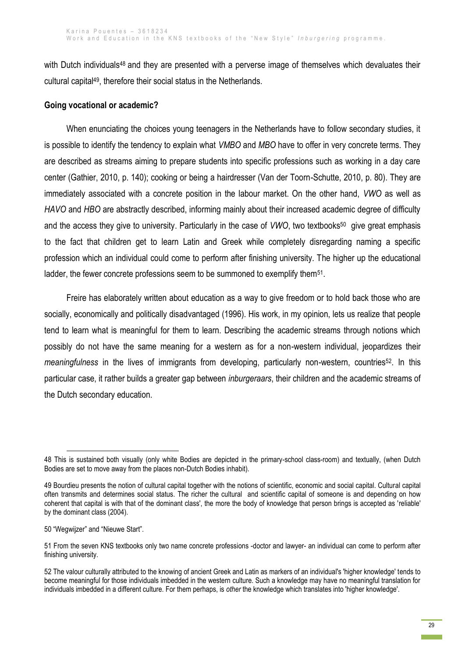with Dutch individuals<sup>48</sup> and they are presented with a perverse image of themselves which devaluates their cultural capital49, therefore their social status in the Netherlands.

# **Going vocational or academic?**

When enunciating the choices young teenagers in the Netherlands have to follow secondary studies, it is possible to identify the tendency to explain what *VMBO* and *MBO* have to offer in very concrete terms. They are described as streams aiming to prepare students into specific professions such as working in a day care center (Gathier, 2010, p. 140); cooking or being a hairdresser (Van der Toorn-Schutte, 2010, p. 80). They are immediately associated with a concrete position in the labour market. On the other hand, *VWO* as well as *HAVO* and *HBO* are abstractly described, informing mainly about their increased academic degree of difficulty and the access they give to university. Particularly in the case of VWO, two textbooks<sup>50</sup> give great emphasis to the fact that children get to learn Latin and Greek while completely disregarding naming a specific profession which an individual could come to perform after finishing university. The higher up the educational ladder, the fewer concrete professions seem to be summoned to exemplify them<sup>51</sup>.

Freire has elaborately written about education as a way to give freedom or to hold back those who are socially, economically and politically disadvantaged (1996). His work, in my opinion, lets us realize that people tend to learn what is meaningful for them to learn. Describing the academic streams through notions which possibly do not have the same meaning for a western as for a non-western individual, jeopardizes their *meaningfulness* in the lives of immigrants from developing, particularly non-western, countries<sup>52</sup>. In this particular case, it rather builds a greater gap between *inburgeraars*, their children and the academic streams of the Dutch secondary education.

**<sup>.</sup>** 48 This is sustained both visually (only white Bodies are depicted in the primary-school class-room) and textually, (when Dutch Bodies are set to move away from the places non-Dutch Bodies inhabit).

<sup>49</sup> Bourdieu presents the notion of cultural capital together with the notions of scientific, economic and social capital. Cultural capital often transmits and determines social status. The richer the cultural and scientific capital of someone is and depending on how coherent that capital is with that of the dominant class', the more the body of knowledge that person brings is accepted as 'reliable' by the dominant class (2004).

<sup>50</sup> "Wegwijzer" and "Nieuwe Start".

<sup>51</sup> From the seven KNS textbooks only two name concrete professions -doctor and lawyer- an individual can come to perform after finishing university.

<sup>52</sup> The valour culturally attributed to the knowing of ancient Greek and Latin as markers of an individual's 'higher knowledge' tends to become meaningful for those individuals imbedded in the western culture. Such a knowledge may have no meaningful translation for individuals imbedded in a different culture. For them perhaps, is *other* the knowledge which translates into 'higher knowledge'.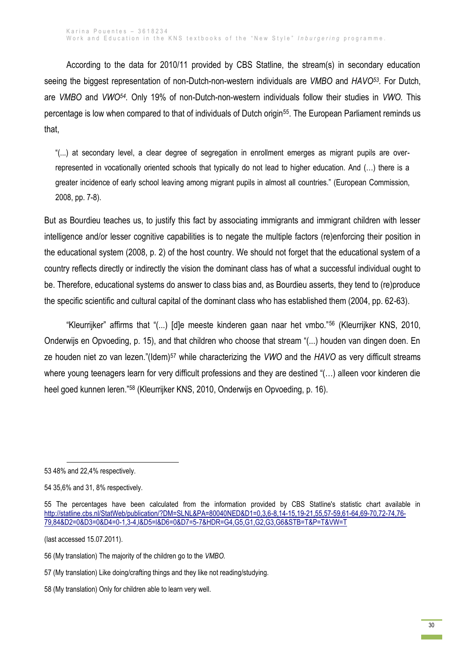According to the data for 2010/11 provided by CBS Statline, the stream(s) in secondary education seeing the biggest representation of non-Dutch-non-western individuals are *VMBO* and *HAVO<sup>53</sup> .* For Dutch, are *VMBO* and *VWO<sup>54</sup> .* Only 19% of non-Dutch-non-western individuals follow their studies in *VWO.* This percentage is low when compared to that of individuals of Dutch origin55. The European Parliament reminds us that,

"(...) at secondary level, a clear degree of segregation in enrollment emerges as migrant pupils are overrepresented in vocationally oriented schools that typically do not lead to higher education. And (…) there is a greater incidence of early school leaving among migrant pupils in almost all countries." (European Commission, 2008, pp. 7-8).

But as Bourdieu teaches us, to justify this fact by associating immigrants and immigrant children with lesser intelligence and/or lesser cognitive capabilities is to negate the multiple factors (re)enforcing their position in the educational system (2008, p. 2) of the host country. We should not forget that the educational system of a country reflects directly or indirectly the vision the dominant class has of what a successful individual ought to be. Therefore, educational systems do answer to class bias and, as Bourdieu asserts, they tend to (re)produce the specific scientific and cultural capital of the dominant class who has established them (2004, pp. 62-63).

"Kleurrijker" affirms that "(...) [d]e meeste kinderen gaan naar het vmbo."<sup>56</sup> (Kleurrijker KNS, 2010, Onderwijs en Opvoeding, p. 15), and that children who choose that stream "(...) houden van dingen doen. En ze houden niet zo van lezen."(Idem)<sup>57</sup> while characterizing the *VWO* and the *HAVO* as very difficult streams where young teenagers learn for very difficult professions and they are destined "(…) alleen voor kinderen die heel goed kunnen leren."<sup>58</sup> (Kleurrijker KNS, 2010, Onderwijs en Opvoeding, p. 16).

1

(last accessed 15.07.2011).

<sup>53</sup> 48% and 22,4% respectively.

<sup>54</sup> 35,6% and 31, 8% respectively.

<sup>55</sup> The percentages have been calculated from the information provided by CBS Statline's statistic chart available in [http://statline.cbs.nl/StatWeb/publication/?DM=SLNL&PA=80040NED&D1=0,3,6-8,14-15,19-21,55,57-59,61-64,69-70,72-74,76-](http://statline.cbs.nl/StatWeb/publication/?DM=SLNL&PA=80040NED&D1=0,3,6-8,14-15,19-21,55,57-59,61-64,69-70,72-74,76-79,84&D2=0&D3=0&D4=0-1,3-4,l&D5=l&D6=0&D7=5-7&HDR=G4,G5,G1,G2,G3,G6&STB=T&P=T&VW=T) [79,84&D2=0&D3=0&D4=0-1,3-4,l&D5=l&D6=0&D7=5-7&HDR=G4,G5,G1,G2,G3,G6&STB=T&P=T&VW=T](http://statline.cbs.nl/StatWeb/publication/?DM=SLNL&PA=80040NED&D1=0,3,6-8,14-15,19-21,55,57-59,61-64,69-70,72-74,76-79,84&D2=0&D3=0&D4=0-1,3-4,l&D5=l&D6=0&D7=5-7&HDR=G4,G5,G1,G2,G3,G6&STB=T&P=T&VW=T)

<sup>56</sup> (My translation) The majority of the children go to the *VMBO.*

<sup>57</sup> (My translation) Like doing/crafting things and they like not reading/studying.

<sup>58</sup> (My translation) Only for children able to learn very well.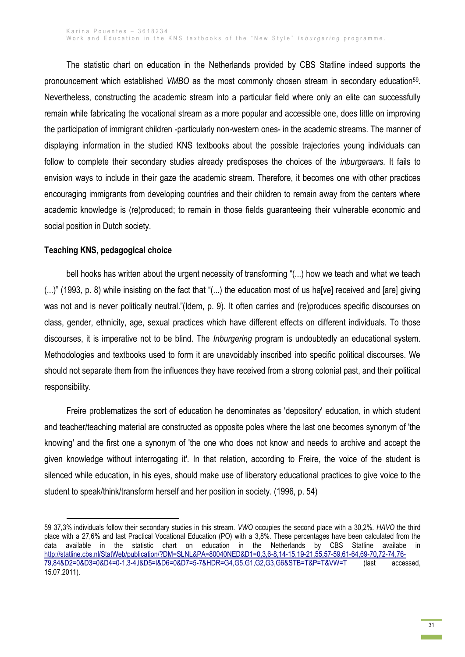The statistic chart on education in the Netherlands provided by CBS Statline indeed supports the pronouncement which established VMBO as the most commonly chosen stream in secondary education<sup>59</sup>. Nevertheless, constructing the academic stream into a particular field where only an elite can successfully remain while fabricating the vocational stream as a more popular and accessible one, does little on improving the participation of immigrant children -particularly non-western ones- in the academic streams. The manner of displaying information in the studied KNS textbooks about the possible trajectories young individuals can follow to complete their secondary studies already predisposes the choices of the *inburgeraars.* It fails to envision ways to include in their gaze the academic stream. Therefore, it becomes one with other practices encouraging immigrants from developing countries and their children to remain away from the centers where academic knowledge is (re)produced; to remain in those fields guaranteeing their vulnerable economic and social position in Dutch society.

#### **Teaching KNS, pedagogical choice**

**.** 

bell hooks has written about the urgent necessity of transforming "(...) how we teach and what we teach (...)" (1993, p. 8) while insisting on the fact that "(...) the education most of us ha[ve] received and [are] giving was not and is never politically neutral."(Idem, p. 9). It often carries and (re)produces specific discourses on class, gender, ethnicity, age, sexual practices which have different effects on different individuals. To those discourses, it is imperative not to be blind. The *Inburgering* program is undoubtedly an educational system. Methodologies and textbooks used to form it are unavoidably inscribed into specific political discourses. We should not separate them from the influences they have received from a strong colonial past, and their political responsibility.

Freire problematizes the sort of education he denominates as 'depository' education, in which student and teacher/teaching material are constructed as opposite poles where the last one becomes synonym of 'the knowing' and the first one a synonym of 'the one who does not know and needs to archive and accept the given knowledge without interrogating it'. In that relation, according to Freire, the voice of the student is silenced while education, in his eyes, should make use of liberatory educational practices to give voice to the student to speak/think/transform herself and her position in society. (1996, p. 54)

<sup>59</sup> 37,3% individuals follow their secondary studies in this stream. *VWO* occupies the second place with a 30,2%. *HAVO* the third place with a 27,6% and last Practical Vocational Education (PO) with a 3,8%. These percentages have been calculated from the data available in the statistic chart on education in the Netherlands by CBS Statline availabe in [http://statline.cbs.nl/StatWeb/publication/?DM=SLNL&PA=80040NED&D1=0,3,6-8,14-15,19-21,55,57-59,61-64,69-70,72-74,76-](http://statline.cbs.nl/StatWeb/publication/?DM=SLNL&PA=80040NED&D1=0,3,6-8,14-15,19-21,55,57-59,61-64,69-70,72-74,76-79,84&D2=0&D3=0&D4=0-1,3-4,l&D5=l&D6=0&D7=5-7&HDR=G4,G5,G1,G2,G3,G6&STB=T&P=T&VW=T) [79,84&D2=0&D3=0&D4=0-1,3-4,l&D5=l&D6=0&D7=5-7&HDR=G4,G5,G1,G2,G3,G6&STB=T&P=T&VW=T](http://statline.cbs.nl/StatWeb/publication/?DM=SLNL&PA=80040NED&D1=0,3,6-8,14-15,19-21,55,57-59,61-64,69-70,72-74,76-79,84&D2=0&D3=0&D4=0-1,3-4,l&D5=l&D6=0&D7=5-7&HDR=G4,G5,G1,G2,G3,G6&STB=T&P=T&VW=T) (last accessed, 15.07.2011).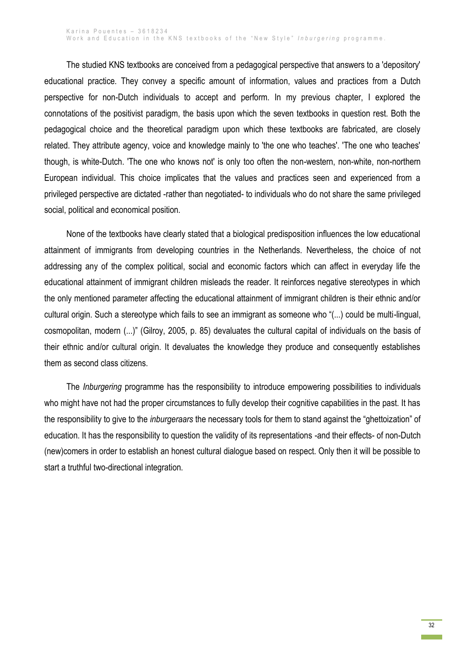The studied KNS textbooks are conceived from a pedagogical perspective that answers to a 'depository' educational practice. They convey a specific amount of information, values and practices from a Dutch perspective for non-Dutch individuals to accept and perform. In my previous chapter, I explored the connotations of the positivist paradigm, the basis upon which the seven textbooks in question rest. Both the pedagogical choice and the theoretical paradigm upon which these textbooks are fabricated, are closely related. They attribute agency, voice and knowledge mainly to 'the one who teaches'. 'The one who teaches' though, is white-Dutch. 'The one who knows not' is only too often the non-western, non-white, non-northern European individual. This choice implicates that the values and practices seen and experienced from a privileged perspective are dictated -rather than negotiated- to individuals who do not share the same privileged social, political and economical position.

None of the textbooks have clearly stated that a biological predisposition influences the low educational attainment of immigrants from developing countries in the Netherlands. Nevertheless, the choice of not addressing any of the complex political, social and economic factors which can affect in everyday life the educational attainment of immigrant children misleads the reader. It reinforces negative stereotypes in which the only mentioned parameter affecting the educational attainment of immigrant children is their ethnic and/or cultural origin. Such a stereotype which fails to see an immigrant as someone who "(...) could be multi-lingual, cosmopolitan, modern (...)" (Gilroy, 2005, p. 85) devaluates the cultural capital of individuals on the basis of their ethnic and/or cultural origin. It devaluates the knowledge they produce and consequently establishes them as second class citizens.

The *Inburgering* programme has the responsibility to introduce empowering possibilities to individuals who might have not had the proper circumstances to fully develop their cognitive capabilities in the past. It has the responsibility to give to the *inburgeraars* the necessary tools for them to stand against the "ghettoization" of education. It has the responsibility to question the validity of its representations -and their effects- of non-Dutch (new)comers in order to establish an honest cultural dialogue based on respect. Only then it will be possible to start a truthful two-directional integration.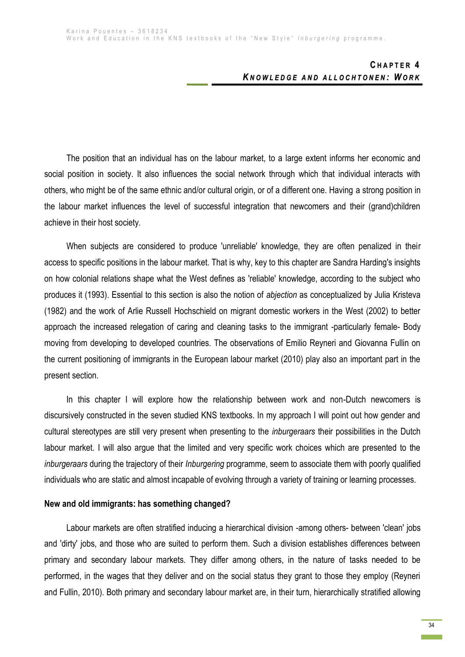The position that an individual has on the labour market, to a large extent informs her economic and social position in society. It also influences the social network through which that individual interacts with others, who might be of the same ethnic and/or cultural origin, or of a different one. Having a strong position in the labour market influences the level of successful integration that newcomers and their (grand)children achieve in their host society.

When subjects are considered to produce 'unreliable' knowledge, they are often penalized in their access to specific positions in the labour market. That is why, key to this chapter are Sandra Harding's insights on how colonial relations shape what the West defines as 'reliable' knowledge, according to the subject who produces it (1993). Essential to this section is also the notion of *abjection* as conceptualized by Julia Kristeva (1982) and the work of Arlie Russell Hochschield on migrant domestic workers in the West (2002) to better approach the increased relegation of caring and cleaning tasks to the immigrant -particularly female- Body moving from developing to developed countries. The observations of Emilio Reyneri and Giovanna Fullin on the current positioning of immigrants in the European labour market (2010) play also an important part in the present section.

In this chapter I will explore how the relationship between work and non-Dutch newcomers is discursively constructed in the seven studied KNS textbooks. In my approach I will point out how gender and cultural stereotypes are still very present when presenting to the *inburgeraars* their possibilities in the Dutch labour market. I will also argue that the limited and very specific work choices which are presented to the *inburgeraars* during the trajectory of their *Inburgering* programme, seem to associate them with poorly qualified individuals who are static and almost incapable of evolving through a variety of training or learning processes.

## **New and old immigrants: has something changed?**

Labour markets are often stratified inducing a hierarchical division -among others- between 'clean' jobs and 'dirty' jobs, and those who are suited to perform them. Such a division establishes differences between primary and secondary labour markets. They differ among others, in the nature of tasks needed to be performed, in the wages that they deliver and on the social status they grant to those they employ (Reyneri and Fullin, 2010). Both primary and secondary labour market are, in their turn, hierarchically stratified allowing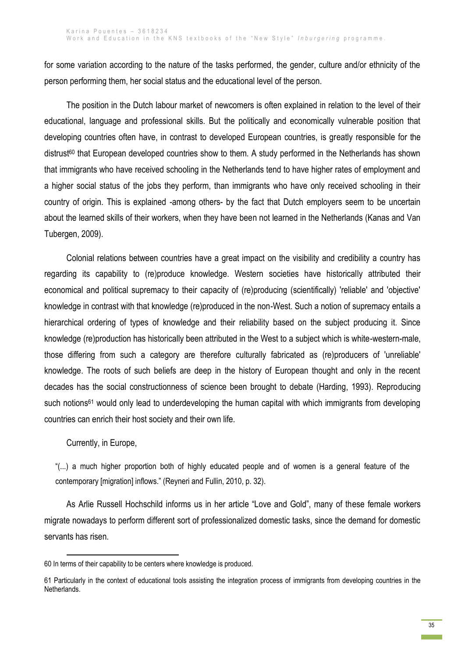for some variation according to the nature of the tasks performed, the gender, culture and/or ethnicity of the person performing them, her social status and the educational level of the person.

The position in the Dutch labour market of newcomers is often explained in relation to the level of their educational, language and professional skills. But the politically and economically vulnerable position that developing countries often have, in contrast to developed European countries, is greatly responsible for the distrust<sup>60</sup> that European developed countries show to them. A study performed in the Netherlands has shown that immigrants who have received schooling in the Netherlands tend to have higher rates of employment and a higher social status of the jobs they perform, than immigrants who have only received schooling in their country of origin. This is explained -among others- by the fact that Dutch employers seem to be uncertain about the learned skills of their workers, when they have been not learned in the Netherlands (Kanas and Van Tubergen, 2009).

Colonial relations between countries have a great impact on the visibility and credibility a country has regarding its capability to (re)produce knowledge. Western societies have historically attributed their economical and political supremacy to their capacity of (re)producing (scientifically) 'reliable' and 'objective' knowledge in contrast with that knowledge (re)produced in the non-West. Such a notion of supremacy entails a hierarchical ordering of types of knowledge and their reliability based on the subject producing it. Since knowledge (re)production has historically been attributed in the West to a subject which is white-western-male, those differing from such a category are therefore culturally fabricated as (re)producers of 'unreliable' knowledge. The roots of such beliefs are deep in the history of European thought and only in the recent decades has the social constructionness of science been brought to debate (Harding, 1993). Reproducing such notions<sup>61</sup> would only lead to underdeveloping the human capital with which immigrants from developing countries can enrich their host society and their own life.

Currently, in Europe,

"(...) a much higher proportion both of highly educated people and of women is a general feature of the contemporary [migration] inflows." (Reyneri and Fullin, 2010, p. 32).

As Arlie Russell Hochschild informs us in her article "Love and Gold", many of these female workers migrate nowadays to perform different sort of professionalized domestic tasks, since the demand for domestic servants has risen.

<sup>1</sup> 60 In terms of their capability to be centers where knowledge is produced.

<sup>61</sup> Particularly in the context of educational tools assisting the integration process of immigrants from developing countries in the Netherlands.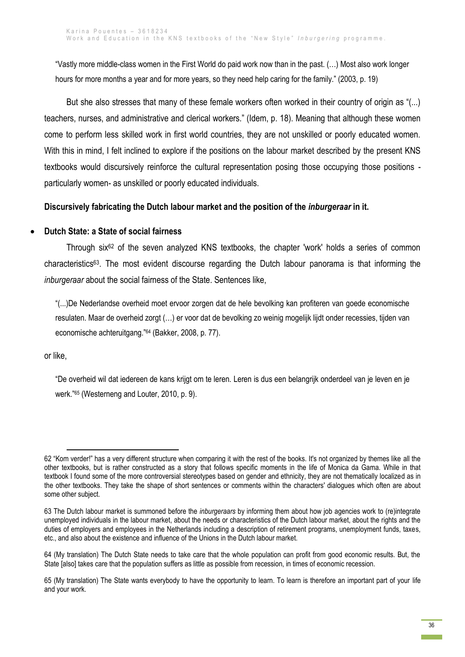"Vastly more middle-class women in the First World do paid work now than in the past. (…) Most also work longer hours for more months a year and for more years, so they need help caring for the family." (2003, p. 19)

But she also stresses that many of these female workers often worked in their country of origin as "(...) teachers, nurses, and administrative and clerical workers." (Idem, p. 18). Meaning that although these women come to perform less skilled work in first world countries, they are not unskilled or poorly educated women. With this in mind, I felt inclined to explore if the positions on the labour market described by the present KNS textbooks would discursively reinforce the cultural representation posing those occupying those positions particularly women- as unskilled or poorly educated individuals.

# **Discursively fabricating the Dutch labour market and the position of the** *inburgeraar* **in it.**

# **Dutch State: a State of social fairness**

Through six<sup>62</sup> of the seven analyzed KNS textbooks, the chapter 'work' holds a series of common characteristics63. The most evident discourse regarding the Dutch labour panorama is that informing the *inburgeraar* about the social fairness of the State. Sentences like,

"(...)De Nederlandse overheid moet ervoor zorgen dat de hele bevolking kan profiteren van goede economische resulaten. Maar de overheid zorgt (…) er voor dat de bevolking zo weinig mogelijk lijdt onder recessies, tijden van economische achteruitgang."<sup>64</sup> (Bakker, 2008, p. 77).

or like,

"De overheid wil dat iedereen de kans krijgt om te leren. Leren is dus een belangrijk onderdeel van je leven en je werk."<sup>65</sup> (Westerneng and Louter, 2010, p. 9).

**<sup>.</sup>** 62 "Kom verder!" has a very different structure when comparing it with the rest of the books. It's not organized by themes like all the other textbooks, but is rather constructed as a story that follows specific moments in the life of Monica da Gama. While in that textbook I found some of the more controversial stereotypes based on gender and ethnicity, they are not thematically localized as in the other textbooks. They take the shape of short sentences or comments within the characters' dialogues which often are about some other subject.

<sup>63</sup> The Dutch labour market is summoned before the *inburgeraars* by informing them about how job agencies work to (re)integrate unemployed individuals in the labour market, about the needs or characteristics of the Dutch labour market, about the rights and the duties of employers and employees in the Netherlands including a description of retirement programs, unemployment funds, taxes, etc., and also about the existence and influence of the Unions in the Dutch labour market.

<sup>64</sup> (My translation) The Dutch State needs to take care that the whole population can profit from good economic results. But, the State [also] takes care that the population suffers as little as possible from recession, in times of economic recession.

<sup>65</sup> (My translation) The State wants everybody to have the opportunity to learn. To learn is therefore an important part of your life and your work.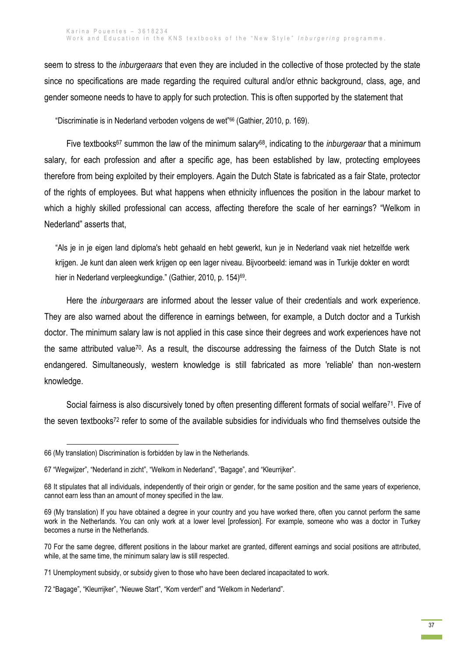seem to stress to the *inburgeraars* that even they are included in the collective of those protected by the state since no specifications are made regarding the required cultural and/or ethnic background, class, age, and gender someone needs to have to apply for such protection. This is often supported by the statement that

"Discriminatie is in Nederland verboden volgens de wet"<sup>66</sup> (Gathier, 2010, p. 169).

Five textbooks<sup>67</sup> summon the law of the minimum salary68, indicating to the *inburgeraar* that a minimum salary, for each profession and after a specific age, has been established by law, protecting employees therefore from being exploited by their employers. Again the Dutch State is fabricated as a fair State, protector of the rights of employees. But what happens when ethnicity influences the position in the labour market to which a highly skilled professional can access, affecting therefore the scale of her earnings? "Welkom in Nederland" asserts that,

"Als je in je eigen land diploma's hebt gehaald en hebt gewerkt, kun je in Nederland vaak niet hetzelfde werk krijgen. Je kunt dan aleen werk krijgen op een lager niveau. Bijvoorbeeld: iemand was in Turkije dokter en wordt hier in Nederland verpleegkundige." (Gathier, 2010, p. 154)<sup>69</sup>.

Here the *inburgeraars* are informed about the lesser value of their credentials and work experience. They are also warned about the difference in earnings between, for example, a Dutch doctor and a Turkish doctor. The minimum salary law is not applied in this case since their degrees and work experiences have not the same attributed value70. As a result, the discourse addressing the fairness of the Dutch State is not endangered. Simultaneously, western knowledge is still fabricated as more 'reliable' than non-western knowledge.

Social fairness is also discursively toned by often presenting different formats of social welfare<sup>71</sup>. Five of the seven textbooks<sup>72</sup> refer to some of the available subsidies for individuals who find themselves outside the

<sup>66</sup> (My translation) Discrimination is forbidden by law in the Netherlands.

<sup>67</sup> "Wegwijzer", "Nederland in zicht", "Welkom in Nederland", "Bagage", and "Kleurrijker".

<sup>68</sup> It stipulates that all individuals, independently of their origin or gender, for the same position and the same years of experience, cannot earn less than an amount of money specified in the law.

<sup>69</sup> (My translation) If you have obtained a degree in your country and you have worked there, often you cannot perform the same work in the Netherlands. You can only work at a lower level [profession]. For example, someone who was a doctor in Turkey becomes a nurse in the Netherlands.

<sup>70</sup> For the same degree, different positions in the labour market are granted, different earnings and social positions are attributed, while, at the same time, the minimum salary law is still respected.

<sup>71</sup> Unemployment subsidy, or subsidy given to those who have been declared incapacitated to work.

<sup>72</sup> "Bagage", "Kleurrijker", "Nieuwe Start", "Kom verder!" and "Welkom in Nederland".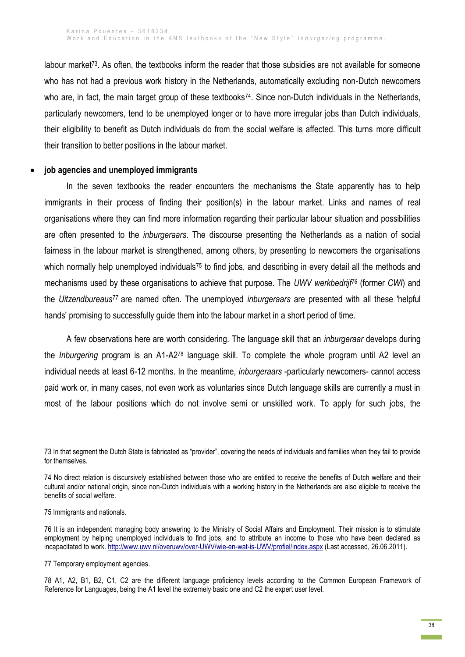labour market<sup>73</sup>. As often, the textbooks inform the reader that those subsidies are not available for someone who has not had a previous work history in the Netherlands, automatically excluding non-Dutch newcomers who are, in fact, the main target group of these textbooks<sup>74</sup>. Since non-Dutch individuals in the Netherlands, particularly newcomers, tend to be unemployed longer or to have more irregular jobs than Dutch individuals, their eligibility to benefit as Dutch individuals do from the social welfare is affected. This turns more difficult their transition to better positions in the labour market.

### **job agencies and unemployed immigrants**

In the seven textbooks the reader encounters the mechanisms the State apparently has to help immigrants in their process of finding their position(s) in the labour market. Links and names of real organisations where they can find more information regarding their particular labour situation and possibilities are often presented to the *inburgeraars*. The discourse presenting the Netherlands as a nation of social fairness in the labour market is strengthened, among others, by presenting to newcomers the organisations which normally help unemployed individuals<sup>75</sup> to find jobs, and describing in every detail all the methods and mechanisms used by these organisations to achieve that purpose. The *UWV werkbedrijf<sup>76</sup>* (former *CWI*) and the *Uitzendbureaus<sup>77</sup>* are named often. The unemployed *inburgeraars* are presented with all these 'helpful hands' promising to successfully guide them into the labour market in a short period of time.

A few observations here are worth considering. The language skill that an *inburgeraar* develops during the *Inburgering* program is an A1-A2<sup>78</sup> language skill. To complete the whole program until A2 level an individual needs at least 6-12 months. In the meantime, *inburgeraars* -particularly newcomers- cannot access paid work or, in many cases, not even work as voluntaries since Dutch language skills are currently a must in most of the labour positions which do not involve semi or unskilled work. To apply for such jobs, the

**<sup>.</sup>** 73 In that segment the Dutch State is fabricated as "provider", covering the needs of individuals and families when they fail to provide for themselves.

<sup>74</sup> No direct relation is discursively established between those who are entitled to receive the benefits of Dutch welfare and their cultural and/or national origin, since non-Dutch individuals with a working history in the Netherlands are also eligible to receive the benefits of social welfare.

<sup>75</sup> Immigrants and nationals.

<sup>76</sup> It is an independent managing body answering to the Ministry of Social Affairs and Employment. Their mission is to stimulate employment by helping unemployed individuals to find jobs, and to attribute an income to those who have been declared as incapacitated to work. <http://www.uwv.nl/overuwv/over-UWV/wie-en-wat-is-UWV/profiel/index.aspx> (Last accessed, 26.06.2011).

<sup>77</sup> Temporary employment agencies.

<sup>78</sup> A1, A2, B1, B2, C1, C2 are the different language proficiency levels according to the Common European Framework of Reference for Languages, being the A1 level the extremely basic one and C2 the expert user level.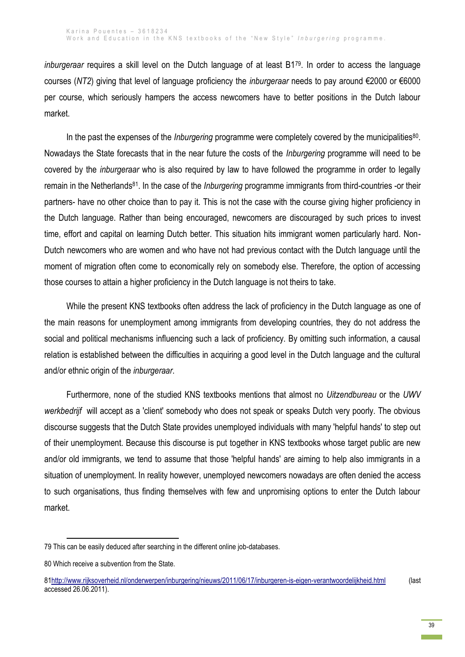*inburgeraar* requires a skill level on the Dutch language of at least B179. In order to access the language courses (*NT2*) giving that level of language proficiency the *inburgeraar* needs to pay around €2000 or €6000 per course, which seriously hampers the access newcomers have to better positions in the Dutch labour market.

In the past the expenses of the *Inburgering* programme were completely covered by the municipalities<sup>80</sup>. Nowadays the State forecasts that in the near future the costs of the *Inburgering* programme will need to be covered by the *inburgeraar* who is also required by law to have followed the programme in order to legally remain in the Netherlands<sup>81</sup>. In the case of the *Inburgering* programme immigrants from third-countries -or their partners- have no other choice than to pay it. This is not the case with the course giving higher proficiency in the Dutch language. Rather than being encouraged, newcomers are discouraged by such prices to invest time, effort and capital on learning Dutch better. This situation hits immigrant women particularly hard. Non-Dutch newcomers who are women and who have not had previous contact with the Dutch language until the moment of migration often come to economically rely on somebody else. Therefore, the option of accessing those courses to attain a higher proficiency in the Dutch language is not theirs to take.

While the present KNS textbooks often address the lack of proficiency in the Dutch language as one of the main reasons for unemployment among immigrants from developing countries, they do not address the social and political mechanisms influencing such a lack of proficiency. By omitting such information, a causal relation is established between the difficulties in acquiring a good level in the Dutch language and the cultural and/or ethnic origin of the *inburgeraar*.

Furthermore, none of the studied KNS textbooks mentions that almost no *Uitzendbureau* or the *UWV werkbedrijf* will accept as a 'client' somebody who does not speak or speaks Dutch very poorly. The obvious discourse suggests that the Dutch State provides unemployed individuals with many 'helpful hands' to step out of their unemployment. Because this discourse is put together in KNS textbooks whose target public are new and/or old immigrants, we tend to assume that those 'helpful hands' are aiming to help also immigrants in a situation of unemployment. In reality however, unemployed newcomers nowadays are often denied the access to such organisations, thus finding themselves with few and unpromising options to enter the Dutch labour market.

<sup>79</sup> This can be easily deduced after searching in the different online job-databases.

<sup>80</sup> Which receive a subvention from the State.

[<sup>81</sup>http://www.rijksoverheid.nl/onderwerpen/inburgering/nieuws/2011/06/17/inburgeren-is-eigen-verantwoordelijkheid.html](http://www.rijksoverheid.nl/onderwerpen/inburgering/nieuws/2011/06/17/inburgeren-is-eigen-verantwoordelijkheid.html) (last accessed 26.06.2011).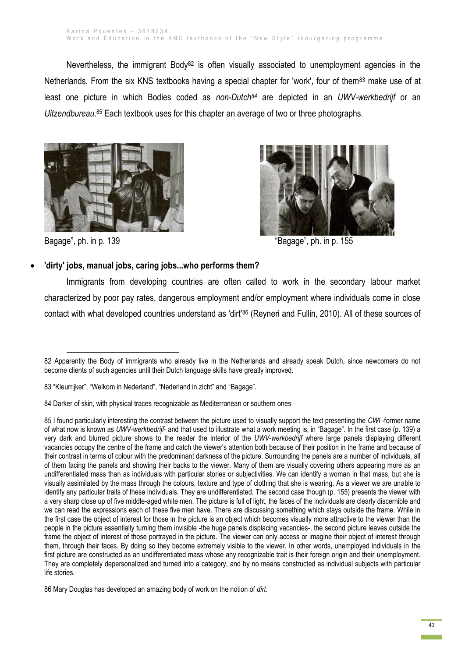Nevertheless, the immigrant Body<sup>82</sup> is often visually associated to unemployment agencies in the Netherlands. From the six KNS textbooks having a special chapter for 'work', four of them<sup>83</sup> make use of at least one picture in which Bodies coded as *non-Dutch<sup>84</sup>* are depicted in an *UWV-werkbedrijf* or an *Uitzendbureau*. <sup>85</sup> Each textbook uses for this chapter an average of two or three photographs.





1

Bagage", ph. in p. 139 The state of the state of the state of the state of the state of the state of the state of the state of the state of the state of the state of the state of the state of the state of the state of the

# **'dirty' jobs, manual jobs, caring jobs...who performs them?**

Immigrants from developing countries are often called to work in the secondary labour market characterized by poor pay rates, dangerous employment and/or employment where individuals come in close contact with what developed countries understand as 'dirt'<sup>86</sup> (Reyneri and Fullin, 2010). All of these sources of

<sup>82</sup> Apparently the Body of immigrants who already live in the Netherlands and already speak Dutch, since newcomers do not become clients of such agencies until their Dutch language skills have greatly improved.

<sup>83</sup> "Kleurrijker", "Welkom in Nederland", "Nederland in zicht" and "Bagage".

<sup>84</sup> Darker of skin, with physical traces recognizable as Mediterranean or southern ones

<sup>85</sup> I found particularly interesting the contrast between the picture used to visually support the text presenting the *CWI -*former name of what now is known as *UWV-werkbedrijf*- and that used to illustrate what a work meeting is, in "Bagage". In the first case (p. 139) a very dark and blurred picture shows to the reader the interior of the *UWV-werkbedrijf* where large panels displaying different vacancies occupy the centre of the frame and catch the viewer's attention both because of their position in the frame and because of their contrast in terms of colour with the predominant darkness of the picture. Surrounding the panels are a number of individuals, all of them facing the panels and showing their backs to the viewer. Many of them are visually covering others appearing more as an undifferentiated mass than as individuals with particular stories or subjectivities. We can identify a woman in that mass, but she is visually assimilated by the mass through the colours, texture and type of clothing that she is wearing. As a viewer we are unable to identify any particular traits of these individuals. They are undifferentiated. The second case though (p. 155) presents the viewer with a very sharp close up of five middle-aged white men. The picture is full of light, the faces of the individuals are clearly discernible and we can read the expressions each of these five men have. There are discussing something which stays outside the frame. While in the first case the object of interest for those in the picture is an object which becomes visually more attractive to the viewer than the people in the picture essentially turning them invisible -the huge panels displacing vacancies-, the second picture leaves outside the frame the object of interest of those portrayed in the picture. The viewer can only access or imagine their object of interest through them, through their faces. By doing so they become extremely visible to the viewer. In other words, unemployed individuals in the first picture are constructed as an undifferentiated mass whose any recognizable trait is their foreign origin and their unemployment. They are completely depersonalized and turned into a category, and by no means constructed as individual subjects with particular life stories.

<sup>86</sup> Mary Douglas has developed an amazing body of work on the notion of *dirt.*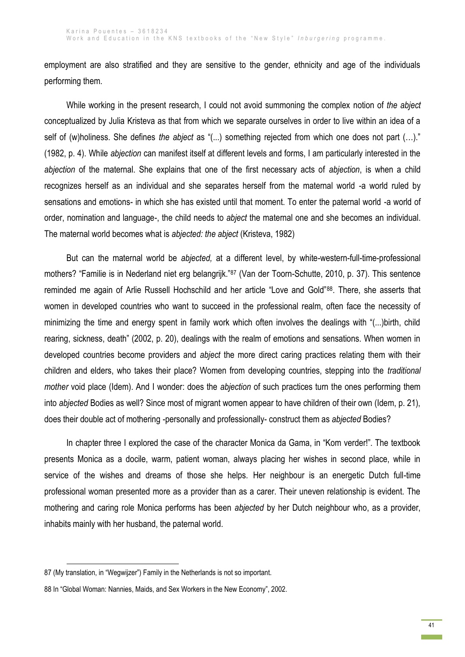employment are also stratified and they are sensitive to the gender, ethnicity and age of the individuals performing them.

While working in the present research, I could not avoid summoning the complex notion of *the abject* conceptualized by Julia Kristeva as that from which we separate ourselves in order to live within an idea of a self of (w)holiness. She defines *the abject* as "(...) something rejected from which one does not part (…)." (1982, p. 4). While *abjection* can manifest itself at different levels and forms, I am particularly interested in the *abjection* of the maternal. She explains that one of the first necessary acts of *abjection*, is when a child recognizes herself as an individual and she separates herself from the maternal world -a world ruled by sensations and emotions- in which she has existed until that moment. To enter the paternal world -a world of order, nomination and language-, the child needs to *abject* the maternal one and she becomes an individual. The maternal world becomes what is *abjected: the abject* (Kristeva, 1982)

But can the maternal world be *abjected,* at a different level, by white-western-full-time-professional mothers? "Familie is in Nederland niet erg belangrijk."<sup>87</sup> (Van der Toorn-Schutte, 2010, p. 37). This sentence reminded me again of Arlie Russell Hochschild and her article "Love and Gold"88. There, she asserts that women in developed countries who want to succeed in the professional realm, often face the necessity of minimizing the time and energy spent in family work which often involves the dealings with "(...)birth, child rearing, sickness, death" (2002, p. 20), dealings with the realm of emotions and sensations. When women in developed countries become providers and *abject* the more direct caring practices relating them with their children and elders, who takes their place? Women from developing countries, stepping into the *traditional mother* void place (Idem). And I wonder: does the *abjection* of such practices turn the ones performing them into *abjected* Bodies as well? Since most of migrant women appear to have children of their own (Idem, p. 21), does their double act of mothering -personally and professionally- construct them as *abjected* Bodies?

In chapter three I explored the case of the character Monica da Gama, in "Kom verder!". The textbook presents Monica as a docile, warm, patient woman, always placing her wishes in second place, while in service of the wishes and dreams of those she helps. Her neighbour is an energetic Dutch full-time professional woman presented more as a provider than as a carer. Their uneven relationship is evident. The mothering and caring role Monica performs has been *abjected* by her Dutch neighbour who, as a provider, inhabits mainly with her husband, the paternal world.

<sup>87</sup> (My translation, in "Wegwijzer") Family in the Netherlands is not so important.

<sup>88</sup> In "Global Woman: Nannies, Maids, and Sex Workers in the New Economy", 2002.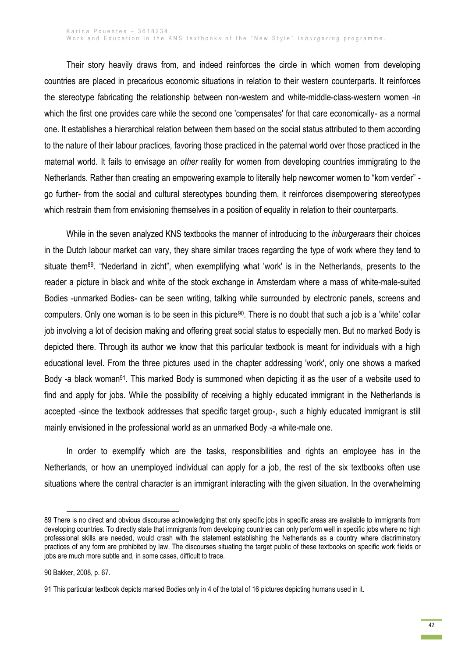Their story heavily draws from, and indeed reinforces the circle in which women from developing countries are placed in precarious economic situations in relation to their western counterparts. It reinforces the stereotype fabricating the relationship between non-western and white-middle-class-western women -in which the first one provides care while the second one 'compensates' for that care economically- as a normal one. It establishes a hierarchical relation between them based on the social status attributed to them according to the nature of their labour practices, favoring those practiced in the paternal world over those practiced in the maternal world. It fails to envisage an *other* reality for women from developing countries immigrating to the Netherlands. Rather than creating an empowering example to literally help newcomer women to "kom verder" go further- from the social and cultural stereotypes bounding them, it reinforces disempowering stereotypes which restrain them from envisioning themselves in a position of equality in relation to their counterparts.

While in the seven analyzed KNS textbooks the manner of introducing to the *inburgeraars* their choices in the Dutch labour market can vary, they share similar traces regarding the type of work where they tend to situate them<sup>89</sup>. "Nederland in zicht", when exemplifying what 'work' is in the Netherlands, presents to the reader a picture in black and white of the stock exchange in Amsterdam where a mass of white-male-suited Bodies -unmarked Bodies- can be seen writing, talking while surrounded by electronic panels, screens and computers. Only one woman is to be seen in this picture<sup>90</sup>. There is no doubt that such a job is a 'white' collar job involving a lot of decision making and offering great social status to especially men. But no marked Body is depicted there. Through its author we know that this particular textbook is meant for individuals with a high educational level. From the three pictures used in the chapter addressing 'work', only one shows a marked Body -a black woman<sup>91</sup>. This marked Body is summoned when depicting it as the user of a website used to find and apply for jobs. While the possibility of receiving a highly educated immigrant in the Netherlands is accepted -since the textbook addresses that specific target group-, such a highly educated immigrant is still mainly envisioned in the professional world as an unmarked Body -a white-male one.

In order to exemplify which are the tasks, responsibilities and rights an employee has in the Netherlands, or how an unemployed individual can apply for a job, the rest of the six textbooks often use situations where the central character is an immigrant interacting with the given situation. In the overwhelming

<sup>89</sup> There is no direct and obvious discourse acknowledging that only specific jobs in specific areas are available to immigrants from developing countries. To directly state that immigrants from developing countries can only perform well in specific jobs where no high professional skills are needed, would crash with the statement establishing the Netherlands as a country where discriminatory practices of any form are prohibited by law. The discourses situating the target public of these textbooks on specific work fields or jobs are much more subtle and, in some cases, difficult to trace.

<sup>90</sup> Bakker, 2008, p. 67.

<sup>91</sup> This particular textbook depicts marked Bodies only in 4 of the total of 16 pictures depicting humans used in it.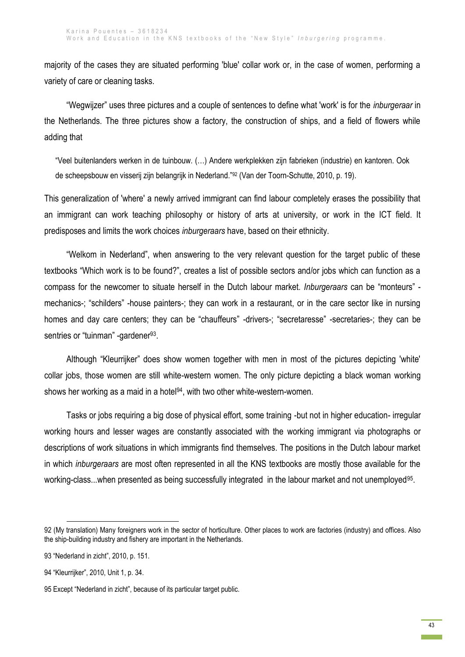majority of the cases they are situated performing 'blue' collar work or, in the case of women, performing a variety of care or cleaning tasks.

"Wegwijzer" uses three pictures and a couple of sentences to define what 'work' is for the *inburgeraar* in the Netherlands. The three pictures show a factory, the construction of ships, and a field of flowers while adding that

"Veel buitenlanders werken in de tuinbouw. (…) Andere werkplekken zijn fabrieken (industrie) en kantoren. Ook de scheepsbouw en visserij zijn belangrijk in Nederland."<sup>92</sup> (Van der Toorn-Schutte, 2010, p. 19).

This generalization of 'where' a newly arrived immigrant can find labour completely erases the possibility that an immigrant can work teaching philosophy or history of arts at university, or work in the ICT field. It predisposes and limits the work choices *inburgeraars* have, based on their ethnicity.

"Welkom in Nederland", when answering to the very relevant question for the target public of these textbooks "Which work is to be found?", creates a list of possible sectors and/or jobs which can function as a compass for the newcomer to situate herself in the Dutch labour market. *Inburgeraars* can be "monteurs" mechanics-; "schilders" -house painters-; they can work in a restaurant, or in the care sector like in nursing homes and day care centers; they can be "chauffeurs" -drivers-; "secretaresse" -secretaries-; they can be sentries or "tuinman" -gardener<sup>93</sup>.

Although "Kleurrijker" does show women together with men in most of the pictures depicting 'white' collar jobs, those women are still white-western women. The only picture depicting a black woman working shows her working as a maid in a hotel<sup>94</sup>, with two other white-western-women.

Tasks or jobs requiring a big dose of physical effort, some training -but not in higher education- irregular working hours and lesser wages are constantly associated with the working immigrant via photographs or descriptions of work situations in which immigrants find themselves. The positions in the Dutch labour market in which *inburgeraars* are most often represented in all the KNS textbooks are mostly those available for the working-class...when presented as being successfully integrated in the labour market and not unemployed<sup>95</sup>.

<sup>92</sup> (My translation) Many foreigners work in the sector of horticulture. Other places to work are factories (industry) and offices. Also the ship-building industry and fishery are important in the Netherlands.

<sup>93</sup> "Nederland in zicht", 2010, p. 151.

<sup>94</sup> "Kleurrijker", 2010, Unit 1, p. 34.

<sup>95</sup> Except "Nederland in zicht", because of its particular target public.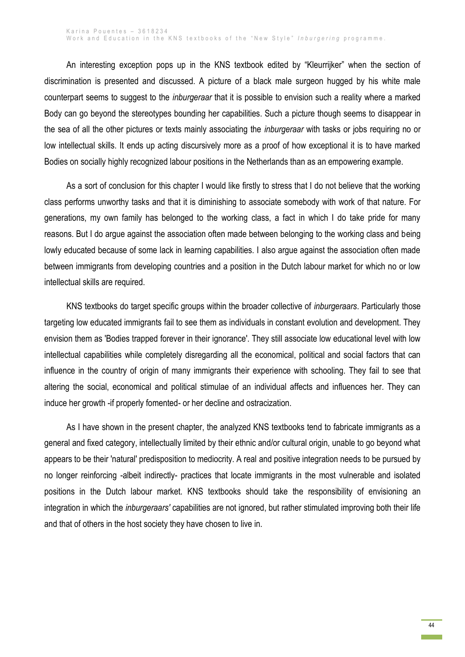An interesting exception pops up in the KNS textbook edited by "Kleurrijker" when the section of discrimination is presented and discussed. A picture of a black male surgeon hugged by his white male counterpart seems to suggest to the *inburgeraar* that it is possible to envision such a reality where a marked Body can go beyond the stereotypes bounding her capabilities. Such a picture though seems to disappear in the sea of all the other pictures or texts mainly associating the *inburgeraar* with tasks or jobs requiring no or low intellectual skills. It ends up acting discursively more as a proof of how exceptional it is to have marked Bodies on socially highly recognized labour positions in the Netherlands than as an empowering example.

As a sort of conclusion for this chapter I would like firstly to stress that I do not believe that the working class performs unworthy tasks and that it is diminishing to associate somebody with work of that nature. For generations, my own family has belonged to the working class, a fact in which I do take pride for many reasons. But I do argue against the association often made between belonging to the working class and being lowly educated because of some lack in learning capabilities. I also argue against the association often made between immigrants from developing countries and a position in the Dutch labour market for which no or low intellectual skills are required.

KNS textbooks do target specific groups within the broader collective of *inburgeraars*. Particularly those targeting low educated immigrants fail to see them as individuals in constant evolution and development. They envision them as 'Bodies trapped forever in their ignorance'. They still associate low educational level with low intellectual capabilities while completely disregarding all the economical, political and social factors that can influence in the country of origin of many immigrants their experience with schooling. They fail to see that altering the social, economical and political stimulae of an individual affects and influences her. They can induce her growth -if properly fomented- or her decline and ostracization.

As I have shown in the present chapter, the analyzed KNS textbooks tend to fabricate immigrants as a general and fixed category, intellectually limited by their ethnic and/or cultural origin, unable to go beyond what appears to be their 'natural' predisposition to mediocrity. A real and positive integration needs to be pursued by no longer reinforcing -albeit indirectly- practices that locate immigrants in the most vulnerable and isolated positions in the Dutch labour market. KNS textbooks should take the responsibility of envisioning an integration in which the *inburgeraars'* capabilities are not ignored, but rather stimulated improving both their life and that of others in the host society they have chosen to live in.

> 44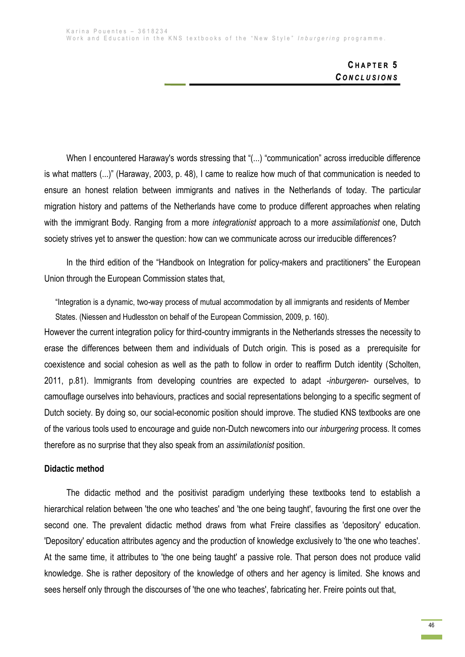# **C H A P T E R 5** *C O N C L U S I O N S*

When I encountered Haraway's words stressing that "(...) "communication" across irreducible difference is what matters (...)" (Haraway, 2003, p. 48), I came to realize how much of that communication is needed to ensure an honest relation between immigrants and natives in the Netherlands of today. The particular migration history and patterns of the Netherlands have come to produce different approaches when relating with the immigrant Body. Ranging from a more *integrationist* approach to a more *assimilationist* one, Dutch society strives yet to answer the question: how can we communicate across our irreducible differences?

In the third edition of the "Handbook on Integration for policy-makers and practitioners" the European Union through the European Commission states that,

"Integration is a dynamic, two-way process of mutual accommodation by all immigrants and residents of Member States. (Niessen and Hudlesston on behalf of the European Commission, 2009, p. 160).

However the current integration policy for third-country immigrants in the Netherlands stresses the necessity to erase the differences between them and individuals of Dutch origin. This is posed as a prerequisite for coexistence and social cohesion as well as the path to follow in order to reaffirm Dutch identity (Scholten, 2011, p.81). Immigrants from developing countries are expected to adapt -*inburgeren*- ourselves, to camouflage ourselves into behaviours, practices and social representations belonging to a specific segment of Dutch society. By doing so, our social-economic position should improve. The studied KNS textbooks are one of the various tools used to encourage and guide non-Dutch newcomers into our *inburgering* process. It comes therefore as no surprise that they also speak from an *assimilationist* position.

### **Didactic method**

The didactic method and the positivist paradigm underlying these textbooks tend to establish a hierarchical relation between 'the one who teaches' and 'the one being taught', favouring the first one over the second one. The prevalent didactic method draws from what Freire classifies as 'depository' education. 'Depository' education attributes agency and the production of knowledge exclusively to 'the one who teaches'. At the same time, it attributes to 'the one being taught' a passive role. That person does not produce valid knowledge. She is rather depository of the knowledge of others and her agency is limited. She knows and sees herself only through the discourses of 'the one who teaches', fabricating her. Freire points out that,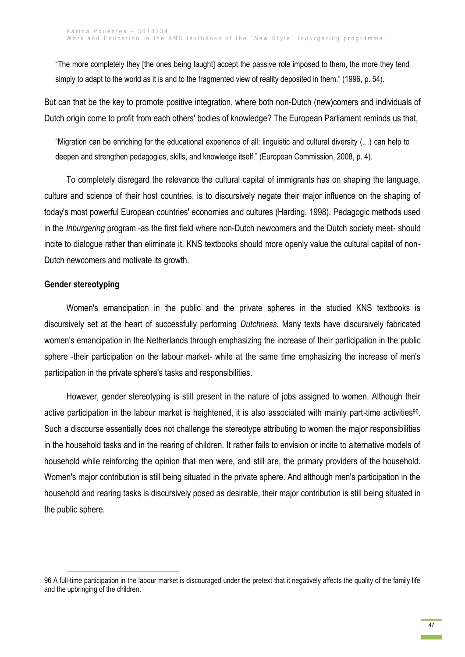"The more completely they [the ones being taught] accept the passive role imposed to them, the more they tend simply to adapt to the world as it is and to the fragmented view of reality deposited in them." (1996, p. 54).

But can that be the key to promote positive integration, where both non-Dutch (new)comers and individuals of Dutch origin come to profit from each others' bodies of knowledge? The European Parliament reminds us that,

"Migration can be enriching for the educational experience of all: linguistic and cultural diversity (…) can help to deepen and strengthen pedagogies, skills, and knowledge itself." (European Commission, 2008, p. 4).

To completely disregard the relevance the cultural capital of immigrants has on shaping the language, culture and science of their host countries, is to discursively negate their major influence on the shaping of today's most powerful European countries' economies and cultures (Harding, 1998). Pedagogic methods used in the *Inburgering* program -as the first field where non-Dutch newcomers and the Dutch society meet- should incite to dialogue rather than eliminate it. KNS textbooks should more openly value the cultural capital of non-Dutch newcomers and motivate its growth.

## **Gender stereotyping**

**.** 

Women's emancipation in the public and the private spheres in the studied KNS textbooks is discursively set at the heart of successfully performing *Dutchness.* Many texts have discursively fabricated women's emancipation in the Netherlands through emphasizing the increase of their participation in the public sphere -their participation on the labour market- while at the same time emphasizing the increase of men's participation in the private sphere's tasks and responsibilities.

However, gender stereotyping is still present in the nature of jobs assigned to women. Although their active participation in the labour market is heightened, it is also associated with mainly part-time activities<sup>96</sup>. Such a discourse essentially does not challenge the stereotype attributing to women the major responsibilities in the household tasks and in the rearing of children. It rather fails to envision or incite to alternative models of household while reinforcing the opinion that men were, and still are, the primary providers of the household. Women's major contribution is still being situated in the private sphere. And although men's participation in the household and rearing tasks is discursively posed as desirable, their major contribution is still being situated in the public sphere.

<sup>96</sup> A full-time participation in the labour market is discouraged under the pretext that it negatively affects the quality of the family life and the upbringing of the children.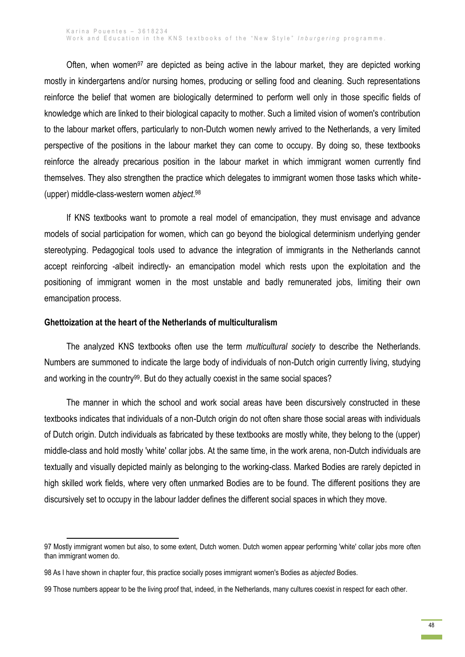Often, when women<sup>97</sup> are depicted as being active in the labour market, they are depicted working mostly in kindergartens and/or nursing homes, producing or selling food and cleaning. Such representations reinforce the belief that women are biologically determined to perform well only in those specific fields of knowledge which are linked to their biological capacity to mother. Such a limited vision of women's contribution to the labour market offers, particularly to non-Dutch women newly arrived to the Netherlands, a very limited perspective of the positions in the labour market they can come to occupy. By doing so, these textbooks reinforce the already precarious position in the labour market in which immigrant women currently find themselves. They also strengthen the practice which delegates to immigrant women those tasks which white- (upper) middle-class-western women *abject*. 98

If KNS textbooks want to promote a real model of emancipation, they must envisage and advance models of social participation for women, which can go beyond the biological determinism underlying gender stereotyping. Pedagogical tools used to advance the integration of immigrants in the Netherlands cannot accept reinforcing -albeit indirectly- an emancipation model which rests upon the exploitation and the positioning of immigrant women in the most unstable and badly remunerated jobs, limiting their own emancipation process.

#### **Ghettoization at the heart of the Netherlands of multiculturalism**

**.** 

The analyzed KNS textbooks often use the term *multicultural society* to describe the Netherlands. Numbers are summoned to indicate the large body of individuals of non-Dutch origin currently living, studying and working in the country<sup>99</sup>. But do they actually coexist in the same social spaces?

The manner in which the school and work social areas have been discursively constructed in these textbooks indicates that individuals of a non-Dutch origin do not often share those social areas with individuals of Dutch origin. Dutch individuals as fabricated by these textbooks are mostly white, they belong to the (upper) middle-class and hold mostly 'white' collar jobs. At the same time, in the work arena, non-Dutch individuals are textually and visually depicted mainly as belonging to the working-class. Marked Bodies are rarely depicted in high skilled work fields, where very often unmarked Bodies are to be found. The different positions they are discursively set to occupy in the labour ladder defines the different social spaces in which they move.

<sup>97</sup> Mostly immigrant women but also, to some extent, Dutch women. Dutch women appear performing 'white' collar jobs more often than immigrant women do.

<sup>98</sup> As I have shown in chapter four, this practice socially poses immigrant women's Bodies as *abjected* Bodies.

<sup>99</sup> Those numbers appear to be the living proof that, indeed, in the Netherlands, many cultures coexist in respect for each other.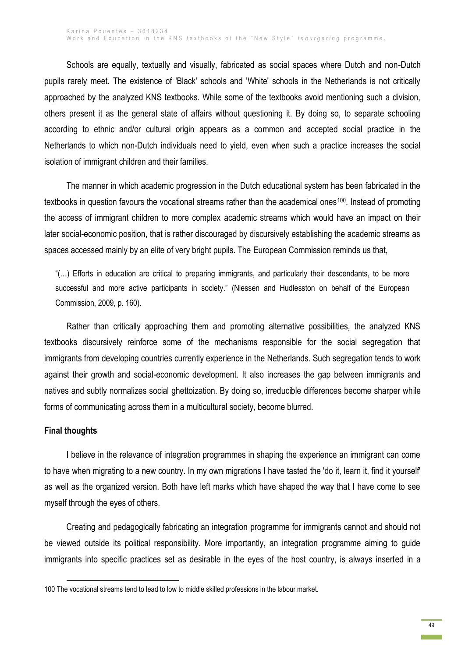Schools are equally, textually and visually, fabricated as social spaces where Dutch and non-Dutch pupils rarely meet. The existence of 'Black' schools and 'White' schools in the Netherlands is not critically approached by the analyzed KNS textbooks. While some of the textbooks avoid mentioning such a division, others present it as the general state of affairs without questioning it. By doing so, to separate schooling according to ethnic and/or cultural origin appears as a common and accepted social practice in the Netherlands to which non-Dutch individuals need to yield, even when such a practice increases the social isolation of immigrant children and their families.

The manner in which academic progression in the Dutch educational system has been fabricated in the textbooks in question favours the vocational streams rather than the academical ones<sup>100</sup>. Instead of promoting the access of immigrant children to more complex academic streams which would have an impact on their later social-economic position, that is rather discouraged by discursively establishing the academic streams as spaces accessed mainly by an elite of very bright pupils. The European Commission reminds us that,

"(…) Efforts in education are critical to preparing immigrants, and particularly their descendants, to be more successful and more active participants in society." (Niessen and Hudlesston on behalf of the European Commission, 2009, p. 160).

Rather than critically approaching them and promoting alternative possibilities, the analyzed KNS textbooks discursively reinforce some of the mechanisms responsible for the social segregation that immigrants from developing countries currently experience in the Netherlands. Such segregation tends to work against their growth and social-economic development. It also increases the gap between immigrants and natives and subtly normalizes social ghettoization. By doing so, irreducible differences become sharper while forms of communicating across them in a multicultural society, become blurred.

#### **Final thoughts**

1

I believe in the relevance of integration programmes in shaping the experience an immigrant can come to have when migrating to a new country. In my own migrations I have tasted the 'do it, learn it, find it yourself' as well as the organized version. Both have left marks which have shaped the way that I have come to see myself through the eyes of others.

Creating and pedagogically fabricating an integration programme for immigrants cannot and should not be viewed outside its political responsibility. More importantly, an integration programme aiming to guide immigrants into specific practices set as desirable in the eyes of the host country, is always inserted in a

<sup>100</sup> The vocational streams tend to lead to low to middle skilled professions in the labour market.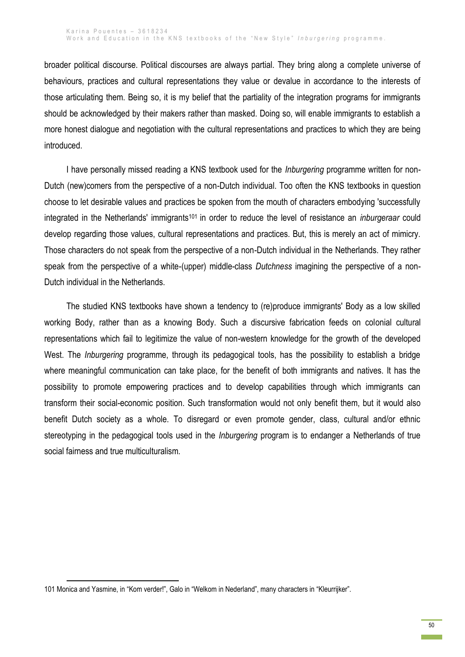broader political discourse. Political discourses are always partial. They bring along a complete universe of behaviours, practices and cultural representations they value or devalue in accordance to the interests of those articulating them. Being so, it is my belief that the partiality of the integration programs for immigrants should be acknowledged by their makers rather than masked. Doing so, will enable immigrants to establish a more honest dialogue and negotiation with the cultural representations and practices to which they are being introduced.

I have personally missed reading a KNS textbook used for the *Inburgering* programme written for non-Dutch (new)comers from the perspective of a non-Dutch individual. Too often the KNS textbooks in question choose to let desirable values and practices be spoken from the mouth of characters embodying 'successfully integrated in the Netherlands' immigrants<sup>101</sup> in order to reduce the level of resistance an *inburgeraar* could develop regarding those values, cultural representations and practices. But, this is merely an act of mimicry. Those characters do not speak from the perspective of a non-Dutch individual in the Netherlands. They rather speak from the perspective of a white-(upper) middle-class *Dutchness* imagining the perspective of a non-Dutch individual in the Netherlands.

The studied KNS textbooks have shown a tendency to (re)produce immigrants' Body as a low skilled working Body, rather than as a knowing Body. Such a discursive fabrication feeds on colonial cultural representations which fail to legitimize the value of non-western knowledge for the growth of the developed West. The *Inburgering* programme, through its pedagogical tools, has the possibility to establish a bridge where meaningful communication can take place, for the benefit of both immigrants and natives. It has the possibility to promote empowering practices and to develop capabilities through which immigrants can transform their social-economic position. Such transformation would not only benefit them, but it would also benefit Dutch society as a whole. To disregard or even promote gender, class, cultural and/or ethnic stereotyping in the pedagogical tools used in the *Inburgering* program is to endanger a Netherlands of true social fairness and true multiculturalism.

<sup>1</sup> 101 Monica and Yasmine, in "Kom verder!", Galo in "Welkom in Nederland", many characters in "Kleurrijker".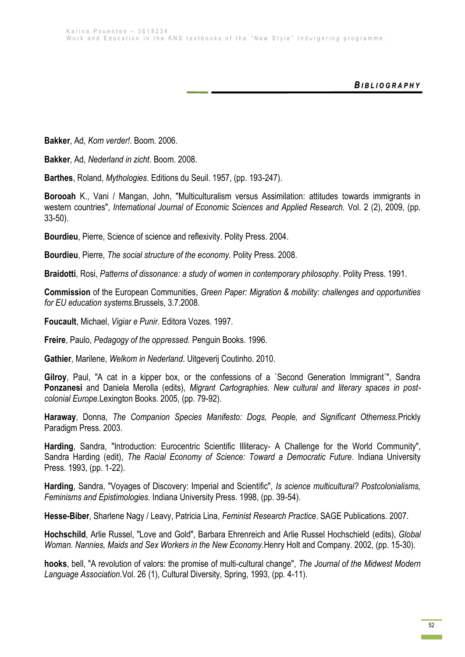*B I B L I O G R A P H Y*

**Bakker**, Ad, *Kom verder!*. Boom. 2006.

**Bakker**, Ad, *Nederland in zicht*. Boom. 2008.

**Barthes**, Roland, *Mythologies*. Editions du Seuil. 1957, (pp. 193-247).

**Borooah** K., Vani / Mangan, John, "Multiculturalism versus Assimilation: attitudes towards immigrants in western countries", *International Journal of Economic Sciences and Applied Research.* Vol. 2 (2), 2009, (pp. 33-50).

**Bourdieu**, Pierre, Science of science and reflexivity. Polity Press. 2004.

**Bourdieu**, Pierre, *The social structure of the economy.* Polity Press. 2008.

**Braidotti**, Rosi, *Patterns of dissonance: a study of women in contemporary philosophy*. Polity Press. 1991.

**Commission** of the European Communities, *Green Paper: Migration & mobility: challenges and opportunities for EU education systems.*Brussels, 3.7.2008.

**Foucault**, Michael, *Vigiar e Punir*. Editora Vozes. 1997.

**Freire**, Paulo, *Pedagogy of the oppressed.* Penguin Books. 1996.

**Gathier**, Marilene, *Welkom in Nederland*. Uitgeverij Coutinho. 2010.

**Gilroy**, Paul, "A cat in a kipper box, or the confessions of a `Second Generation Immigrant´", Sandra **Ponzanesi** and Daniela Merolla (edits), *Migrant Cartographies. New cultural and literary spaces in postcolonial Europe.*Lexington Books. 2005, (pp. 79-92).

**Haraway**, Donna, *The Companion Species Manifesto: Dogs, People, and Significant Otherness.*Prickly Paradigm Press. 2003.

**Harding**, Sandra, "Introduction: Eurocentric Scientific Illiteracy- A Challenge for the World Community", Sandra Harding (edit), *The Racial Economy of Science: Toward a Democratic Future*. Indiana University Press. 1993, (pp. 1-22).

**Harding**, Sandra, "Voyages of Discovery: Imperial and Scientific", *Is science multicultural? Postcolonialisms, Feminisms and Epistimologies.* Indiana University Press. 1998, (pp. 39-54).

**Hesse-Biber**, Sharlene Nagy / Leavy, Patricia Lina, *Feminist Research Practice*. SAGE Publications. 2007.

**Hochschild**, Arlie Russel, "Love and Gold", Barbara Ehrenreich and Arlie Russel Hochschield (edits), *Global Woman. Nannies, Maids and Sex Workers in the New Economy.*Henry Holt and Company. 2002, (pp. 15-30).

**hooks**, bell, "A revolution of valors: the promise of multi-cultural change", *The Journal of the Midwest Modern Language Association.*Vol. 26 (1), Cultural Diversity, Spring, 1993, (pp. 4-11).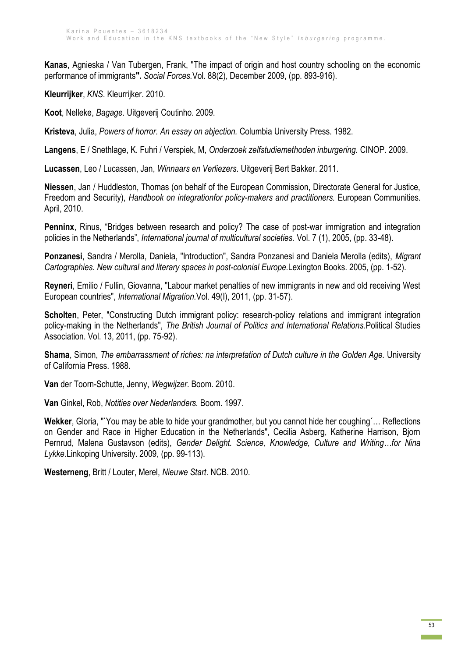**Kanas**, Agnieska / Van Tubergen, Frank, "The impact of origin and host country schooling on the economic performance of immigrants**".** *Social Forces.*Vol. 88(2), December 2009, (pp. 893-916).

**Kleurrijker**, *KNS*. Kleurrijker. 2010.

**Koot**, Nelleke, *Bagage*. Uitgeverij Coutinho. 2009.

**Kristeva**, Julia, *Powers of horror. An essay on abjection.* Columbia University Press. 1982.

**Langens**, E / Snethlage, K. Fuhri / Verspiek, M, *Onderzoek zelfstudiemethoden inburgering.* CINOP. 2009.

**Lucassen**, Leo / Lucassen, Jan, *Winnaars en Verliezers*. Uitgeverij Bert Bakker. 2011.

**Niessen**, Jan / Huddleston, Thomas (on behalf of the European Commission, Directorate General for Justice, Freedom and Security), *Handbook on integrationfor policy-makers and practitioners.* European Communities. April, 2010.

**Penninx**, Rinus, "Bridges between research and policy? The case of post-war immigration and integration policies in the Netherlands", *International journal of multicultural societies.* Vol. 7 (1), 2005, (pp. 33-48).

**Ponzanesi**, Sandra / Merolla, Daniela, "Introduction", Sandra Ponzanesi and Daniela Merolla (edits), *Migrant Cartographies. New cultural and literary spaces in post-colonial Europe.*Lexington Books. 2005, (pp. 1-52).

**Reyneri**, Emilio / Fullin, Giovanna, "Labour market penalties of new immigrants in new and old receiving West European countries", *International Migration.*Vol. 49(I), 2011, (pp. 31-57).

**Scholten**, Peter, "Constructing Dutch immigrant policy: research-policy relations and immigrant integration policy-making in the Netherlands", *The British Journal of Politics and International Relations.*Political Studies Association. Vol. 13, 2011, (pp. 75-92).

**Shama**, Simon, *The embarrassment of riches: na interpretation of Dutch culture in the Golden Age.* University of California Press. 1988.

**Van** der Toorn-Schutte, Jenny, *Wegwijzer*. Boom. 2010.

**Van** Ginkel, Rob, *Notities over Nederlanders.* Boom. 1997.

**Wekker**, Gloria, "`You may be able to hide your grandmother, but you cannot hide her coughing´… Reflections on Gender and Race in Higher Education in the Netherlands", Cecilia Asberg, Katherine Harrison, Bjorn Pernrud, Malena Gustavson (edits), *Gender Delight. Science, Knowledge, Culture and Writing…for Nina Lykke.*Linkoping University. 2009, (pp. 99-113).

**Westerneng**, Britt / Louter, Merel, *Nieuwe Start*. NCB. 2010.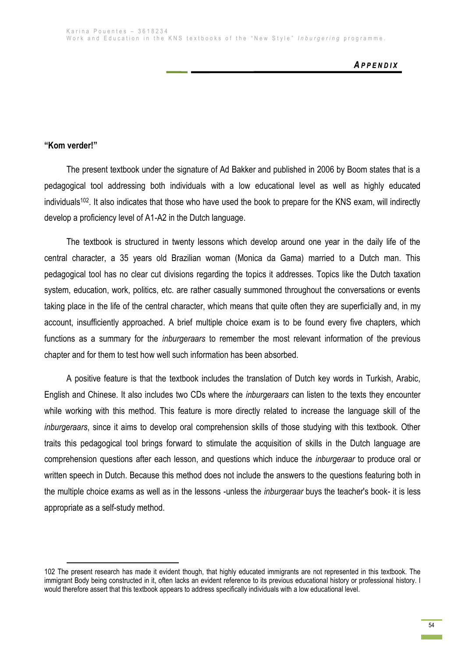## **"Kom verder!"**

**.** 

The present textbook under the signature of Ad Bakker and published in 2006 by Boom states that is a pedagogical tool addressing both individuals with a low educational level as well as highly educated individuals102. It also indicates that those who have used the book to prepare for the KNS exam, will indirectly develop a proficiency level of A1-A2 in the Dutch language.

The textbook is structured in twenty lessons which develop around one year in the daily life of the central character, a 35 years old Brazilian woman (Monica da Gama) married to a Dutch man. This pedagogical tool has no clear cut divisions regarding the topics it addresses. Topics like the Dutch taxation system, education, work, politics, etc. are rather casually summoned throughout the conversations or events taking place in the life of the central character, which means that quite often they are superficially and, in my account, insufficiently approached. A brief multiple choice exam is to be found every five chapters, which functions as a summary for the *inburgeraars* to remember the most relevant information of the previous chapter and for them to test how well such information has been absorbed.

A positive feature is that the textbook includes the translation of Dutch key words in Turkish, Arabic, English and Chinese. It also includes two CDs where the *inburgeraars* can listen to the texts they encounter while working with this method. This feature is more directly related to increase the language skill of the *inburgeraars*, since it aims to develop oral comprehension skills of those studying with this textbook. Other traits this pedagogical tool brings forward to stimulate the acquisition of skills in the Dutch language are comprehension questions after each lesson, and questions which induce the *inburgeraar* to produce oral or written speech in Dutch. Because this method does not include the answers to the questions featuring both in the multiple choice exams as well as in the lessons -unless the *inburgeraar* buys the teacher's book- it is less appropriate as a self-study method.

<sup>102</sup> The present research has made it evident though, that highly educated immigrants are not represented in this textbook. The immigrant Body being constructed in it, often lacks an evident reference to its previous educational history or professional history. I would therefore assert that this textbook appears to address specifically individuals with a low educational level.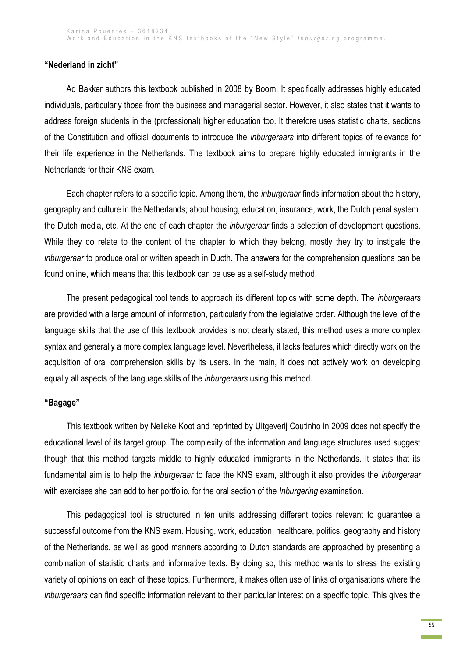# **"Nederland in zicht"**

Ad Bakker authors this textbook published in 2008 by Boom. It specifically addresses highly educated individuals, particularly those from the business and managerial sector. However, it also states that it wants to address foreign students in the (professional) higher education too. It therefore uses statistic charts, sections of the Constitution and official documents to introduce the *inburgeraars* into different topics of relevance for their life experience in the Netherlands. The textbook aims to prepare highly educated immigrants in the Netherlands for their KNS exam.

Each chapter refers to a specific topic. Among them, the *inburgeraar* finds information about the history, geography and culture in the Netherlands; about housing, education, insurance, work, the Dutch penal system, the Dutch media, etc. At the end of each chapter the *inburgeraar* finds a selection of development questions. While they do relate to the content of the chapter to which they belong, mostly they try to instigate the *inburgeraar* to produce oral or written speech in Ducth. The answers for the comprehension questions can be found online, which means that this textbook can be use as a self-study method.

The present pedagogical tool tends to approach its different topics with some depth. The *inburgeraars* are provided with a large amount of information, particularly from the legislative order. Although the level of the language skills that the use of this textbook provides is not clearly stated, this method uses a more complex syntax and generally a more complex language level. Nevertheless, it lacks features which directly work on the acquisition of oral comprehension skills by its users. In the main, it does not actively work on developing equally all aspects of the language skills of the *inburgeraars* using this method.

## **"Bagage"**

This textbook written by Nelleke Koot and reprinted by Uitgeverij Coutinho in 2009 does not specify the educational level of its target group. The complexity of the information and language structures used suggest though that this method targets middle to highly educated immigrants in the Netherlands. It states that its fundamental aim is to help the *inburgeraar* to face the KNS exam, although it also provides the *inburgeraar* with exercises she can add to her portfolio, for the oral section of the *Inburgering* examination.

This pedagogical tool is structured in ten units addressing different topics relevant to guarantee a successful outcome from the KNS exam. Housing, work, education, healthcare, politics, geography and history of the Netherlands, as well as good manners according to Dutch standards are approached by presenting a combination of statistic charts and informative texts. By doing so, this method wants to stress the existing variety of opinions on each of these topics. Furthermore, it makes often use of links of organisations where the *inburgeraars* can find specific information relevant to their particular interest on a specific topic. This gives the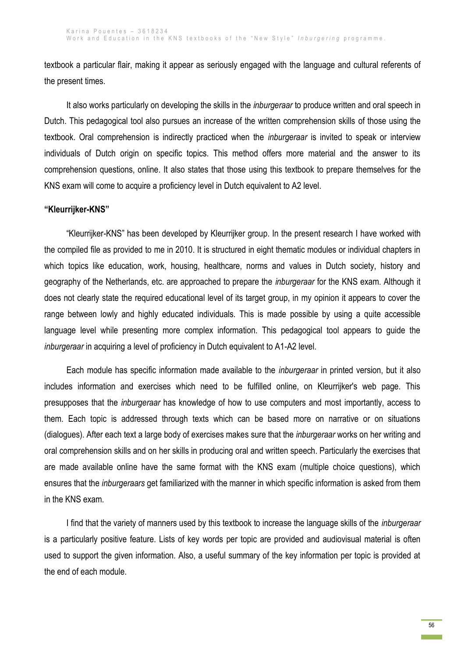textbook a particular flair, making it appear as seriously engaged with the language and cultural referents of the present times.

It also works particularly on developing the skills in the *inburgeraar* to produce written and oral speech in Dutch. This pedagogical tool also pursues an increase of the written comprehension skills of those using the textbook. Oral comprehension is indirectly practiced when the *inburgeraar* is invited to speak or interview individuals of Dutch origin on specific topics. This method offers more material and the answer to its comprehension questions, online. It also states that those using this textbook to prepare themselves for the KNS exam will come to acquire a proficiency level in Dutch equivalent to A2 level.

### **"Kleurrijker-KNS"**

"Kleurrijker-KNS" has been developed by Kleurrijker group. In the present research I have worked with the compiled file as provided to me in 2010. It is structured in eight thematic modules or individual chapters in which topics like education, work, housing, healthcare, norms and values in Dutch society, history and geography of the Netherlands, etc. are approached to prepare the *inburgeraar* for the KNS exam. Although it does not clearly state the required educational level of its target group, in my opinion it appears to cover the range between lowly and highly educated individuals. This is made possible by using a quite accessible language level while presenting more complex information. This pedagogical tool appears to guide the *inburgeraar* in acquiring a level of proficiency in Dutch equivalent to A1-A2 level.

Each module has specific information made available to the *inburgeraar* in printed version, but it also includes information and exercises which need to be fulfilled online, on Kleurrijker's web page. This presupposes that the *inburgeraar* has knowledge of how to use computers and most importantly, access to them. Each topic is addressed through texts which can be based more on narrative or on situations (dialogues). After each text a large body of exercises makes sure that the *inburgeraar* works on her writing and oral comprehension skills and on her skills in producing oral and written speech. Particularly the exercises that are made available online have the same format with the KNS exam (multiple choice questions), which ensures that the *inburgeraars* get familiarized with the manner in which specific information is asked from them in the KNS exam.

I find that the variety of manners used by this textbook to increase the language skills of the *inburgeraar*  is a particularly positive feature. Lists of key words per topic are provided and audiovisual material is often used to support the given information. Also, a useful summary of the key information per topic is provided at the end of each module.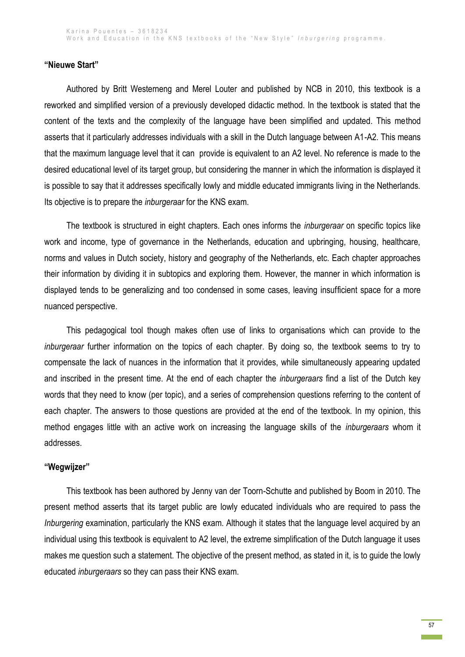### **"Nieuwe Start"**

Authored by Britt Westerneng and Merel Louter and published by NCB in 2010, this textbook is a reworked and simplified version of a previously developed didactic method. In the textbook is stated that the content of the texts and the complexity of the language have been simplified and updated. This method asserts that it particularly addresses individuals with a skill in the Dutch language between A1-A2. This means that the maximum language level that it can provide is equivalent to an A2 level. No reference is made to the desired educational level of its target group, but considering the manner in which the information is displayed it is possible to say that it addresses specifically lowly and middle educated immigrants living in the Netherlands. Its objective is to prepare the *inburgeraar* for the KNS exam.

The textbook is structured in eight chapters. Each ones informs the *inburgeraar* on specific topics like work and income, type of governance in the Netherlands, education and upbringing, housing, healthcare, norms and values in Dutch society, history and geography of the Netherlands, etc. Each chapter approaches their information by dividing it in subtopics and exploring them. However, the manner in which information is displayed tends to be generalizing and too condensed in some cases, leaving insufficient space for a more nuanced perspective.

This pedagogical tool though makes often use of links to organisations which can provide to the *inburgeraar* further information on the topics of each chapter. By doing so, the textbook seems to try to compensate the lack of nuances in the information that it provides, while simultaneously appearing updated and inscribed in the present time. At the end of each chapter the *inburgeraars* find a list of the Dutch key words that they need to know (per topic), and a series of comprehension questions referring to the content of each chapter. The answers to those questions are provided at the end of the textbook. In my opinion, this method engages little with an active work on increasing the language skills of the *inburgeraars* whom it addresses.

### **"Wegwijzer"**

This textbook has been authored by Jenny van der Toorn-Schutte and published by Boom in 2010. The present method asserts that its target public are lowly educated individuals who are required to pass the *Inburgering* examination, particularly the KNS exam. Although it states that the language level acquired by an individual using this textbook is equivalent to A2 level, the extreme simplification of the Dutch language it uses makes me question such a statement. The objective of the present method, as stated in it, is to guide the lowly educated *inburgeraars* so they can pass their KNS exam.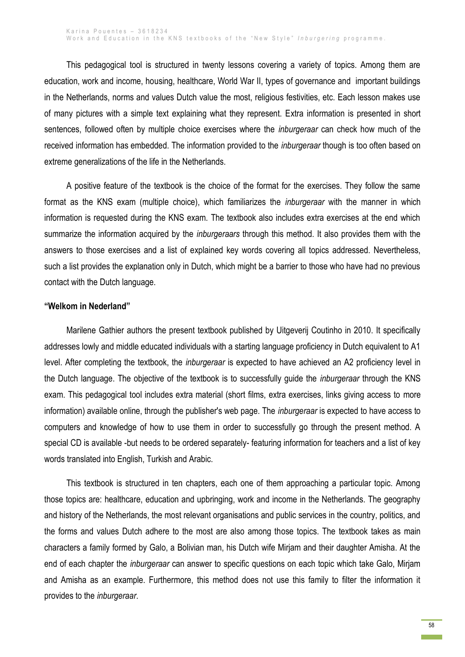This pedagogical tool is structured in twenty lessons covering a variety of topics. Among them are education, work and income, housing, healthcare, World War II, types of governance and important buildings in the Netherlands, norms and values Dutch value the most, religious festivities, etc. Each lesson makes use of many pictures with a simple text explaining what they represent. Extra information is presented in short sentences, followed often by multiple choice exercises where the *inburgeraar* can check how much of the received information has embedded. The information provided to the *inburgeraar* though is too often based on extreme generalizations of the life in the Netherlands.

A positive feature of the textbook is the choice of the format for the exercises. They follow the same format as the KNS exam (multiple choice), which familiarizes the *inburgeraar* with the manner in which information is requested during the KNS exam. The textbook also includes extra exercises at the end which summarize the information acquired by the *inburgeraars* through this method. It also provides them with the answers to those exercises and a list of explained key words covering all topics addressed. Nevertheless, such a list provides the explanation only in Dutch, which might be a barrier to those who have had no previous contact with the Dutch language.

#### **"Welkom in Nederland"**

Marilene Gathier authors the present textbook published by Uitgeverij Coutinho in 2010. It specifically addresses lowly and middle educated individuals with a starting language proficiency in Dutch equivalent to A1 level. After completing the textbook, the *inburgeraar* is expected to have achieved an A2 proficiency level in the Dutch language. The objective of the textbook is to successfully guide the *inburgeraar* through the KNS exam. This pedagogical tool includes extra material (short films, extra exercises, links giving access to more information) available online, through the publisher's web page. The *inburgeraar* is expected to have access to computers and knowledge of how to use them in order to successfully go through the present method. A special CD is available -but needs to be ordered separately- featuring information for teachers and a list of key words translated into English, Turkish and Arabic.

This textbook is structured in ten chapters, each one of them approaching a particular topic. Among those topics are: healthcare, education and upbringing, work and income in the Netherlands. The geography and history of the Netherlands, the most relevant organisations and public services in the country, politics, and the forms and values Dutch adhere to the most are also among those topics. The textbook takes as main characters a family formed by Galo, a Bolivian man, his Dutch wife Mirjam and their daughter Amisha. At the end of each chapter the *inburgeraar* can answer to specific questions on each topic which take Galo, Mirjam and Amisha as an example. Furthermore, this method does not use this family to filter the information it provides to the *inburgeraar*.